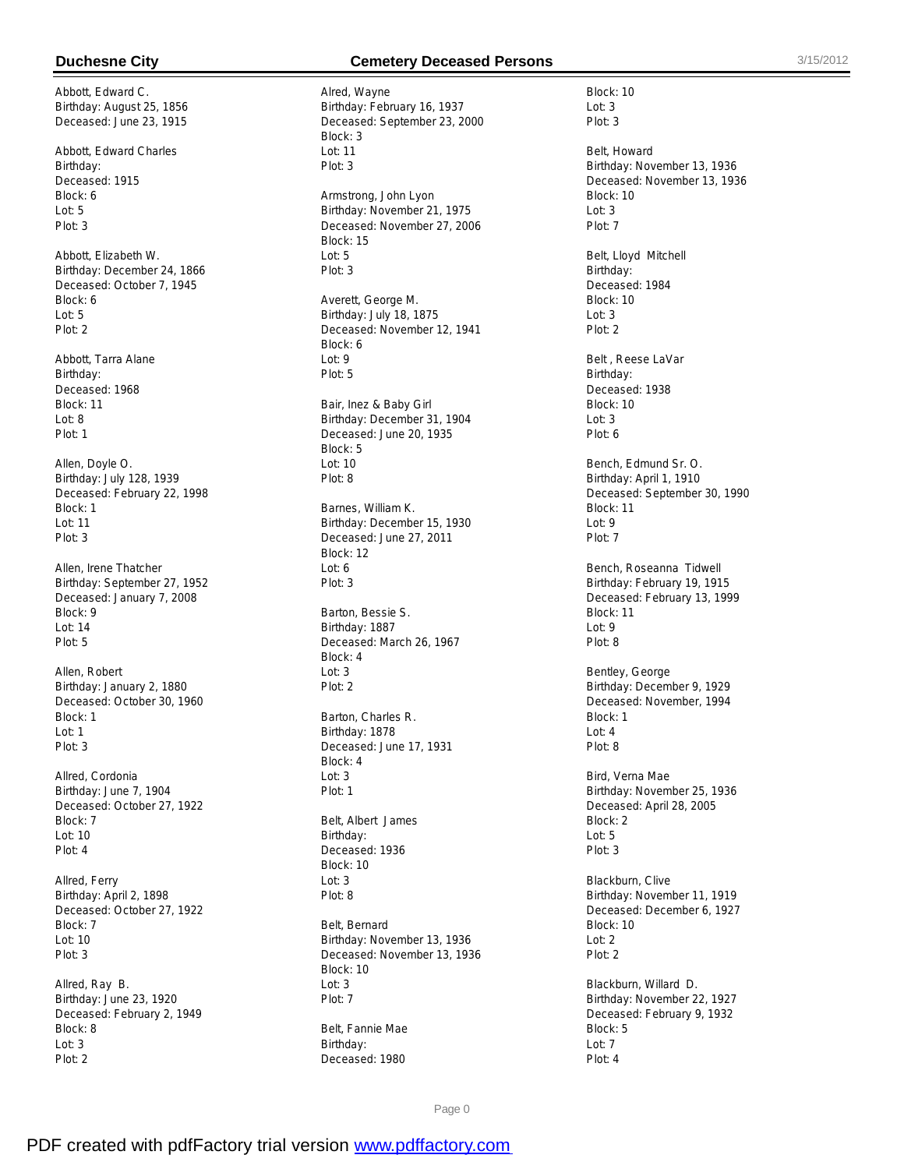Abbott, Edward C. Birthday: August 25, 1856 Deceased: June 23, 1915

Abbott, Edward Charles Birthday: Deceased: 1915 Block: 6 Lot: 5 Plot: 3

Abbott, Elizabeth W. Birthday: December 24, 1866 Deceased: October 7, 1945 Block: 6 Lot: 5 Plot: 2

Abbott, Tarra Alane Birthday: Deceased: 1968 Block: 11  $Int: 8$ Plot: 1

Allen, Doyle O. Birthday: July 128, 1939 Deceased: February 22, 1998 Block: 1 Lot: 11 Plot: 3

Allen, Irene Thatcher Birthday: September 27, 1952 Deceased: January 7, 2008 Block: 9 Lot: 14 Plot: 5

Allen, Robert Birthday: January 2, 1880 Deceased: October 30, 1960 Block: 1 Lot: 1 Plot: 3

Allred, Cordonia Birthday: June 7, 1904 Deceased: October 27, 1922 Block: 7 Lot: 10 Plot: 4

Allred, Ferry Birthday: April 2, 1898 Deceased: October 27, 1922 Block: 7 Lot: 10 Plot: 3

Allred, Ray B. Birthday: June 23, 1920 Deceased: February 2, 1949 Block: 8 Lot: 3 Plot: 2

### **Duchesne City Cemetery Deceased Persons** 3/15/2012

Alred, Wayne Birthday: February 16, 1937 Deceased: September 23, 2000 Block: 3 Lot: 11 Plot: 3 Armstrong, John Lyon Birthday: November 21, 1975 Deceased: November 27, 2006 Block: 15 Lot: 5 Plot: 3 Averett, George M. Birthday: July 18, 1875 Deceased: November 12, 1941 Block: 6 Lot: 9 Plot: 5 Bair, Inez & Baby Girl Birthday: December 31, 1904 Deceased: June 20, 1935 Block: 5 Lot: 10 Plot: 8 Barnes, William K. Birthday: December 15, 1930 Deceased: June 27, 2011 Block: 12 Lot: 6 Plot: 3 Barton, Bessie S. Birthday: 1887 Deceased: March 26, 1967 Block: 4  $\ln 3$ Plot: 2 Barton, Charles R. Birthday: 1878 Deceased: June 17, 1931 Block: 4 Lot: 3 Plot: 1 Belt, Albert James Birthday: Deceased: 1936 Block: 10 Lot: 3 Plot: 8 Belt, Bernard Birthday: November 13, 1936 Deceased: November 13, 1936 Block: 10 Lot: 3 Plot: 7

Belt, Fannie Mae Birthday: Deceased: 1980

Block: 10 Lot: 3 Plot: 3 Belt, Howard Birthday: November 13, 1936 Deceased: November 13, 1936 Block: 10 Lot: 3 Plot: 7 Belt, Lloyd Mitchell Birthday: Deceased: 1984 Block: 10 Lot: 3 Plot: 2 Belt , Reese LaVar Birthday: Deceased: 1938 Block: 10  $Ln: 3$ Plot: 6 Bench, Edmund Sr. O. Birthday: April 1, 1910 Deceased: September 30, 1990 Block: 11 Lot: 9 Plot: 7 Bench, Roseanna Tidwell Birthday: February 19, 1915 Deceased: February 13, 1999 Block: 11 Lot: 9 Plot: 8 Bentley, George Birthday: December 9, 1929 Deceased: November, 1994 Block: 1 Lot: 4 Plot: 8 Bird, Verna Mae Birthday: November 25, 1936 Deceased: April 28, 2005 Block: 2 Lot: 5 Plot: 3 Blackburn, Clive Birthday: November 11, 1919 Deceased: December 6, 1927 Block: 10 Lot: 2 Plot: 2 Blackburn, Willard D. Birthday: November 22, 1927 Deceased: February 9, 1932 Block: 5

Page 0

Lot: 7 Plot: 4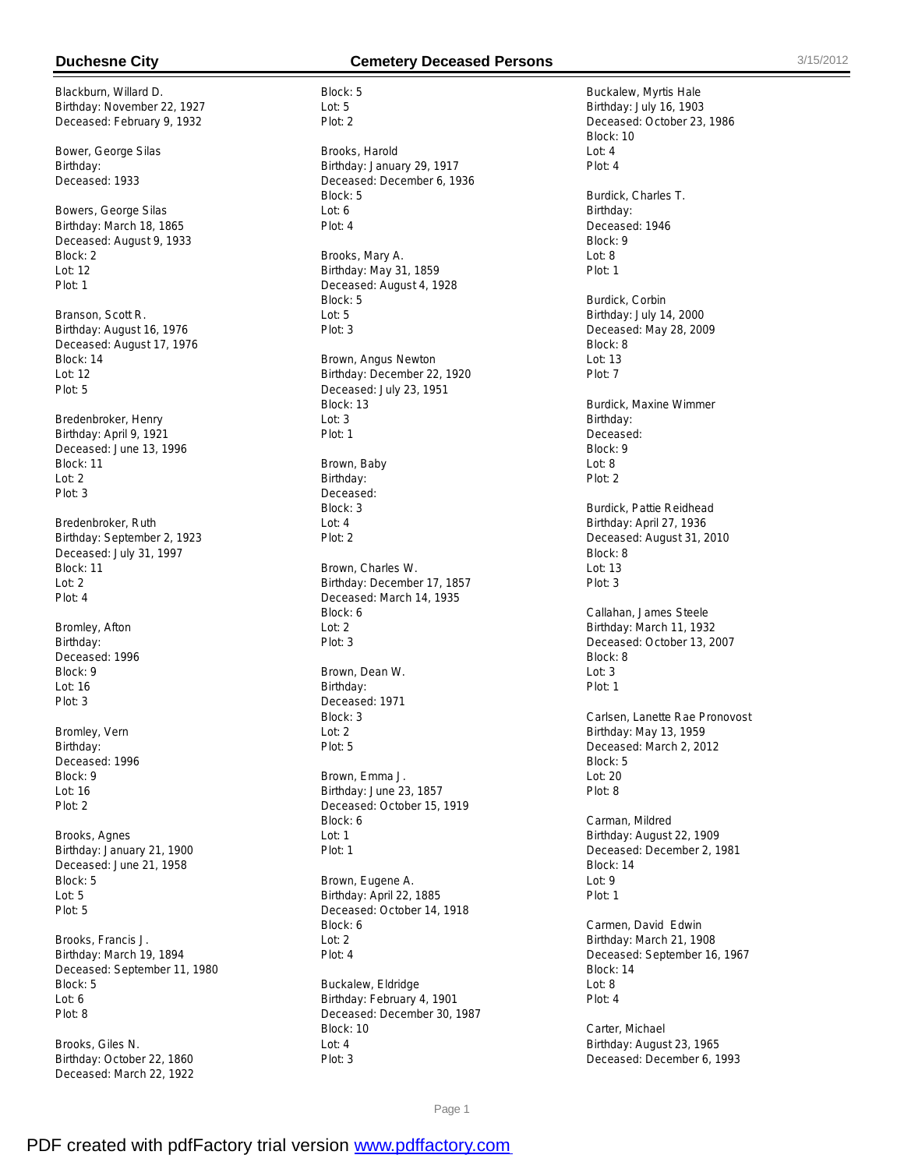Blackburn, Willard D. Birthday: November 22, 1927 Deceased: February 9, 1932

Bower, George Silas Birthday: Deceased: 1933

Bowers, George Silas Birthday: March 18, 1865 Deceased: August 9, 1933 Block: 2 Lot: 12 Plot: 1

Branson, Scott R. Birthday: August 16, 1976 Deceased: August 17, 1976 Block: 14 Lot: 12 Plot: 5

Bredenbroker, Henry Birthday: April 9, 1921 Deceased: June 13, 1996 Block: 11 Lot: 2 Plot: 3

Bredenbroker, Ruth Birthday: September 2, 1923 Deceased: July 31, 1997 Block: 11 Lot: 2 Plot: 4

Bromley, Afton Birthday: Deceased: 1996 Block: 9 Lot: 16 Plot: 3

Bromley, Vern Birthday: Deceased: 1996 Block: 9 Lot: 16 Plot: 2

Brooks, Agnes Birthday: January 21, 1900 Deceased: June 21, 1958 Block: 5 Lot: 5 Plot: 5

Brooks, Francis J. Birthday: March 19, 1894 Deceased: September 11, 1980 Block: 5 Lot: 6 Plot: 8

Brooks, Giles N. Birthday: October 22, 1860 Deceased: March 22, 1922

### **Duchesne City Cemetery Deceased Persons** 3/15/2012

Block: 5 Lot: 5 Plot: 2 Brooks, Harold Birthday: January 29, 1917 Deceased: December 6, 1936 Block: 5 Lot: 6 Plot: 4 Brooks, Mary A. Birthday: May 31, 1859 Deceased: August 4, 1928 Block: 5 Lot: 5 Plot: 3 Brown, Angus Newton Birthday: December 22, 1920 Deceased: July 23, 1951 Block: 13  $L$ ot: 3 Plot: 1 Brown, Baby Birthday: Deceased: Block: 3 Lot: 4 Plot: 2 Brown, Charles W. Birthday: December 17, 1857 Deceased: March 14, 1935 Block: 6 Lot: 2 Plot: 3 Brown, Dean W. Birthday: Deceased: 1971 Block: 3 Lot: 2 Plot: 5 Brown, Emma J. Birthday: June 23, 1857 Deceased: October 15, 1919 Block: 6 Lot: 1 Plot: 1 Brown, Eugene A. Birthday: April 22, 1885 Deceased: October 14, 1918 Block: 6 Lot: 2 Plot: 4

Buckalew, Eldridge Birthday: February 4, 1901 Deceased: December 30, 1987 Block: 10 Lot: 4 Plot: 3

Buckalew, Myrtis Hale Birthday: July 16, 1903 Deceased: October 23, 1986 Block: 10  $Int: 4$ Plot: 4 Burdick, Charles T. Birthday: Deceased: 1946 Block: 9 Lot: 8 Plot: 1 Burdick, Corbin Birthday: July 14, 2000 Deceased: May 28, 2009 Block: 8 Lot: 13 Plot: 7 Burdick, Maxine Wimmer Birthday: Deceased: Block: 9 Lot: 8 Plot: 2 Burdick, Pattie Reidhead Birthday: April 27, 1936 Deceased: August 31, 2010 Block: 8 Lot: 13 Plot: 3 Callahan, James Steele Birthday: March 11, 1932 Deceased: October 13, 2007 Block: 8  $\ln 3$ Plot: 1 Carlsen, Lanette Rae Pronovost Birthday: May 13, 1959 Deceased: March 2, 2012 Block: 5 Lot: 20 Plot: 8 Carman, Mildred Birthday: August 22, 1909 Deceased: December 2, 1981 Block: 14 Lot: 9 Plot: 1 Carmen, David Edwin Birthday: March 21, 1908 Deceased: September 16, 1967 Block: 14 Lot: 8 Plot: 4 Carter, Michael Birthday: August 23, 1965 Deceased: December 6, 1993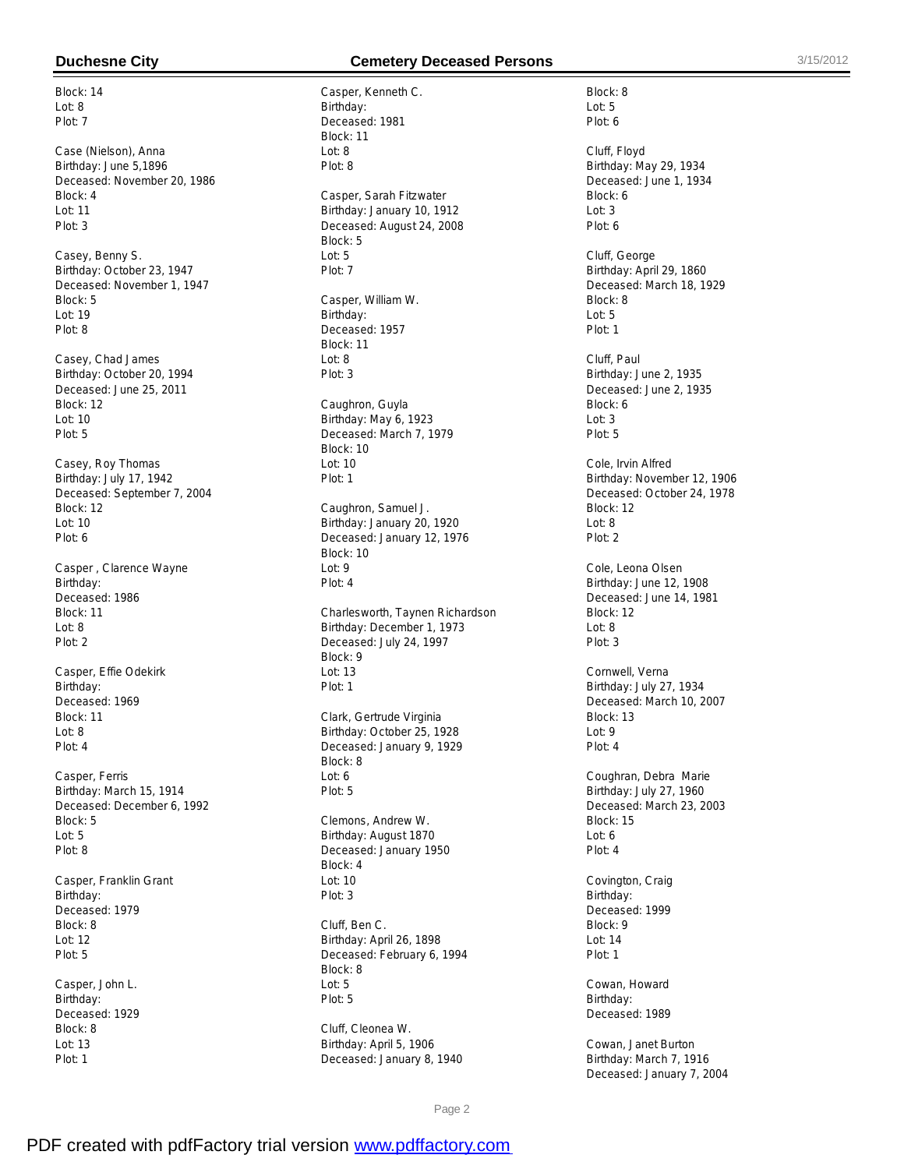Block: 14 Lot: 8 Plot: 7

Case (Nielson), Anna Birthday: June 5,1896 Deceased: November 20, 1986 Block: 4 Lot: 11 Plot: 3

Casey, Benny S. Birthday: October 23, 1947 Deceased: November 1, 1947 Block: 5 Lot: 19 Plot: 8

Casey, Chad James Birthday: October 20, 1994 Deceased: June 25, 2011 Block: 12  $Int: 10$ Plot: 5

Casey, Roy Thomas Birthday: July 17, 1942 Deceased: September 7, 2004 Block: 12 Lot: 10 Plot: 6

Casper , Clarence Wayne Birthday: Deceased: 1986 Block: 11 Lot: 8 Plot: 2

Casper, Effie Odekirk Birthday: Deceased: 1969 Block: 11 Lot: 8 Plot: 4

Casper, Ferris Birthday: March 15, 1914 Deceased: December 6, 1992 Block: 5 Lot: 5 Plot: 8

Casper, Franklin Grant Birthday: Deceased: 1979 Block: 8 Lot: 12 Plot: 5

Casper, John L. Birthday: Deceased: 1929 Block: 8 Lot: 13 Plot: 1

# **Duchesne City Cemetery Deceased Persons** 3/15/2012

Casper, Kenneth C. Birthday: Deceased: 1981 Block: 11  $Int: 8$ Plot: 8 Casper, Sarah Fitzwater Birthday: January 10, 1912 Deceased: August 24, 2008 Block: 5 Lot: 5 Plot: 7 Casper, William W. Birthday: Deceased: 1957 Block: 11 Lot: 8 Plot: 3 Caughron, Guyla Birthday: May 6, 1923 Deceased: March 7, 1979 Block: 10 Lot: 10 Plot: 1 Caughron, Samuel J. Birthday: January 20, 1920 Deceased: January 12, 1976 Block: 10 Lot: 9 Plot: 4 Charlesworth, Taynen Richardson Birthday: December 1, 1973 Deceased: July 24, 1997 Block: 9  $Int: 13$ Plot: 1 Clark, Gertrude Virginia Birthday: October 25, 1928 Deceased: January 9, 1929 Block: 8 Lot: 6 Plot: 5 Clemons, Andrew W. Birthday: August 1870 Deceased: January 1950 Block: 4 Lot: 10 Plot: 3 Cluff, Ben C.

Birthday: April 26, 1898 Deceased: February 6, 1994 Block: 8 Lot: 5 Plot: 5

Cluff, Cleonea W. Birthday: April 5, 1906 Deceased: January 8, 1940 Block: 8 Lot: 5 Plot: 6 Cluff, Floyd Birthday: May 29, 1934 Deceased: June 1, 1934 Block: 6 Lot: 3 Plot: 6 Cluff, George Birthday: April 29, 1860 Deceased: March 18, 1929 Block: 8  $L$ ot: 5 Plot: 1 Cluff, Paul Birthday: June 2, 1935 Deceased: June 2, 1935 Block: 6  $L$ ot: 3 Plot: 5 Cole, Irvin Alfred Birthday: November 12, 1906 Deceased: October 24, 1978 Block: 12 Lot: 8 Plot: 2 Cole, Leona Olsen Birthday: June 12, 1908 Deceased: June 14, 1981 Block: 12 Lot: 8 Plot: 3 Cornwell, Verna Birthday: July 27, 1934 Deceased: March 10, 2007 Block: 13 Lot: 9 Plot: 4 Coughran, Debra Marie Birthday: July 27, 1960 Deceased: March 23, 2003 Block: 15 Lot: 6 Plot: 4 Covington, Craig Birthday: Deceased: 1999 Block: 9 Lot: 14 Plot: 1 Cowan, Howard

Birthday: Deceased: 1989

Cowan, Janet Burton Birthday: March 7, 1916 Deceased: January 7, 2004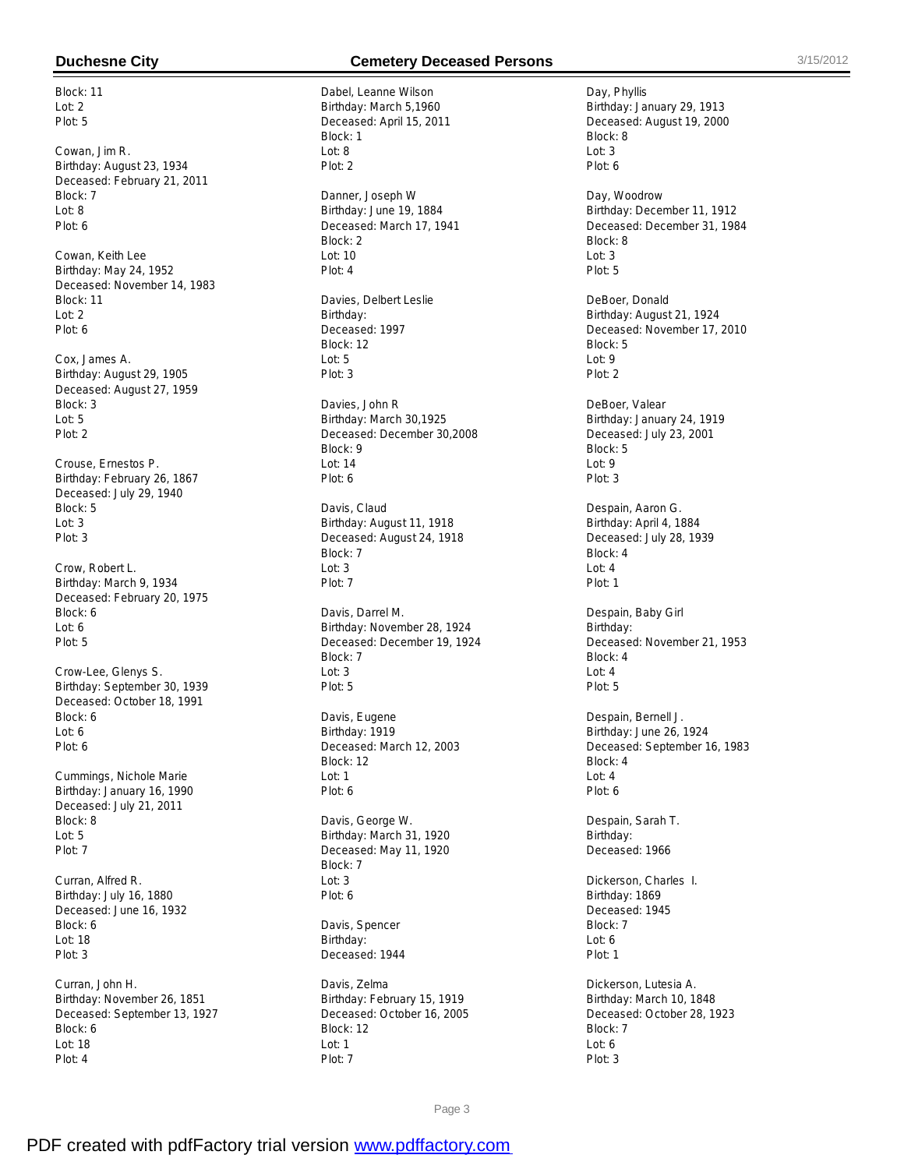Block: 11 Lot: 2 Plot: 5

Cowan, Jim R. Birthday: August 23, 1934 Deceased: February 21, 2011 Block: 7 Lot: 8 Plot: 6

Cowan, Keith Lee Birthday: May 24, 1952 Deceased: November 14, 1983 Block: 11 Lot: 2 Plot: 6

Cox, James A. Birthday: August 29, 1905 Deceased: August 27, 1959 Block: 3  $L$ ot: 5 Plot: 2

Crouse, Ernestos P. Birthday: February 26, 1867 Deceased: July 29, 1940 Block: 5 Lot: 3 Plot: 3

Crow, Robert L. Birthday: March 9, 1934 Deceased: February 20, 1975 Block: 6 Lot: 6 Plot: 5

Crow-Lee, Glenys S. Birthday: September 30, 1939 Deceased: October 18, 1991 Block: 6 Lot: 6 Plot: 6

Cummings, Nichole Marie Birthday: January 16, 1990 Deceased: July 21, 2011 Block: 8 Lot: 5 Plot: 7

Curran, Alfred R. Birthday: July 16, 1880 Deceased: June 16, 1932 Block: 6 Lot: 18 Plot: 3

Curran, John H. Birthday: November 26, 1851 Deceased: September 13, 1927 Block: 6 Lot: 18 Plot: 4

### **Duchesne City Cemetery Deceased Persons** 3/15/2012

Dabel, Leanne Wilson Birthday: March 5,1960 Deceased: April 15, 2011 Block: 1  $Ind: 8$ Plot: 2

Danner, Joseph W Birthday: June 19, 1884 Deceased: March 17, 1941 Block: 2 Lot: 10 Plot: 4

Davies, Delbert Leslie Birthday: Deceased: 1997 Block: 12 Lot: 5 Plot: 3

Davies, John R Birthday: March 30,1925 Deceased: December 30,2008 Block: 9 Lot: 14 Plot: 6

Davis, Claud Birthday: August 11, 1918 Deceased: August 24, 1918 Block: 7 Lot: 3 Plot: 7

Davis, Darrel M. Birthday: November 28, 1924 Deceased: December 19, 1924 Block: 7  $\ln 3$ Plot: 5

Davis, Eugene Birthday: 1919 Deceased: March 12, 2003 Block: 12 Lot: 1 Plot: 6

Davis, George W. Birthday: March 31, 1920 Deceased: May 11, 1920 Block: 7 Lot: 3 Plot: 6

Davis, Spencer Birthday: Deceased: 1944

Davis, Zelma Birthday: February 15, 1919 Deceased: October 16, 2005 Block: 12 Lot: 1 Plot: 7

Day, Phyllis Birthday: January 29, 1913 Deceased: August 19, 2000 Block: 8  $Int: 3$ Plot: 6

Day, Woodrow Birthday: December 11, 1912 Deceased: December 31, 1984 Block: 8 Lot: 3 Plot: 5

DeBoer, Donald Birthday: August 21, 1924 Deceased: November 17, 2010 Block: 5 Lot: 9 Plot: 2

DeBoer, Valear Birthday: January 24, 1919 Deceased: July 23, 2001 Block: 5 Lot: 9 Plot: 3

Despain, Aaron G. Birthday: April 4, 1884 Deceased: July 28, 1939 Block: 4 Lot: 4 Plot: 1

Despain, Baby Girl Birthday: Deceased: November 21, 1953 Block: 4  $Ind: 4$ Plot: 5

Despain, Bernell J. Birthday: June 26, 1924 Deceased: September 16, 1983 Block: 4 Lot: 4 Plot: 6

Despain, Sarah T. Birthday: Deceased: 1966

Dickerson, Charles I. Birthday: 1869 Deceased: 1945 Block: 7 Lot: 6 Plot: 1

Dickerson, Lutesia A. Birthday: March 10, 1848 Deceased: October 28, 1923 Block: 7 Lot: 6 Plot: 3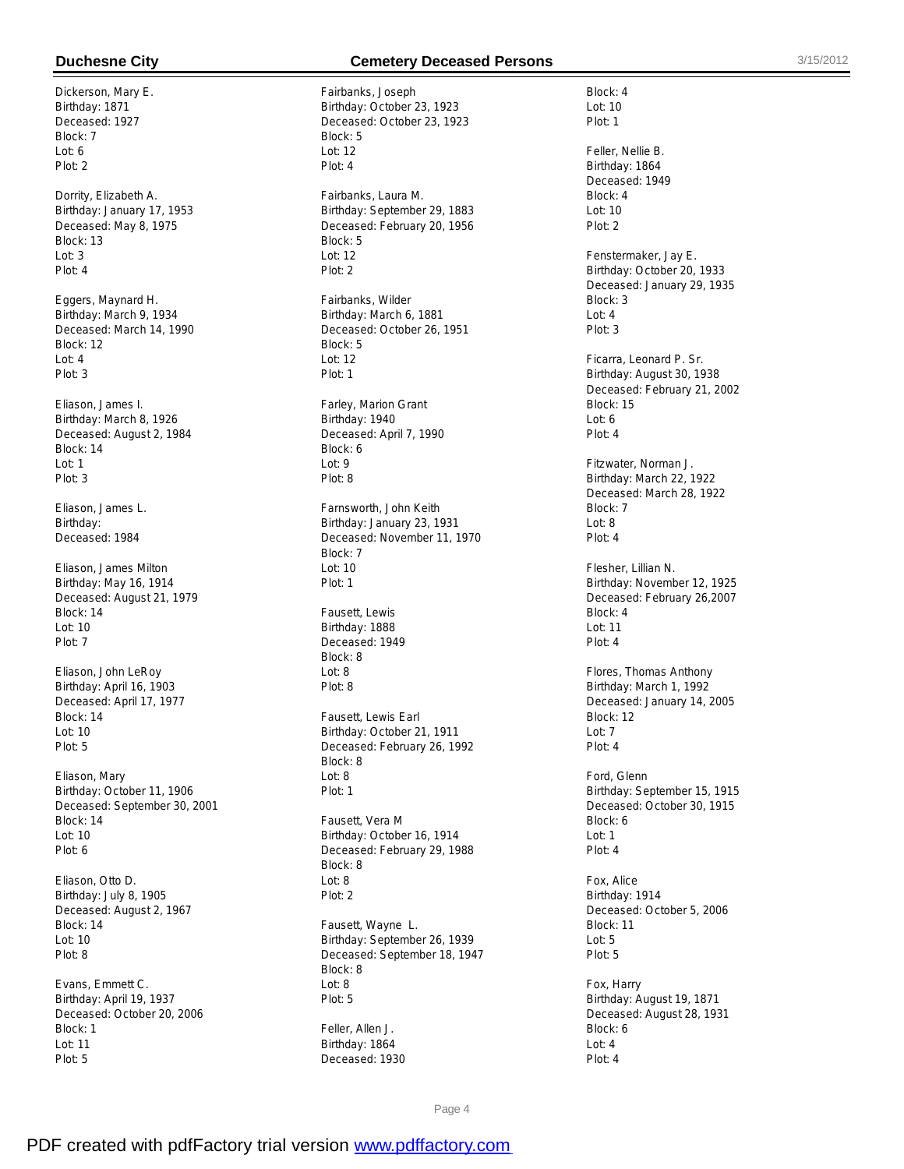Dickerson, Mary E. Birthday: 1871 Deceased: 1927 Block: 7  $Int: A$ Plot: 2

Dorrity, Elizabeth A. Birthday: January 17, 1953 Deceased: May 8, 1975 Block: 13 Lot: 3 Plot: 4

Eggers, Maynard H. Birthday: March 9, 1934 Deceased: March 14, 1990 Block: 12 Lot: 4 Plot: 3

Eliason, James I. Birthday: March 8, 1926 Deceased: August 2, 1984 Block: 14 Lot: 1 Plot: 3

Eliason, James L. Birthday: Deceased: 1984

Eliason, James Milton Birthday: May 16, 1914 Deceased: August 21, 1979 Block: 14 Lot: 10 Plot: 7

Eliason, John LeRoy Birthday: April 16, 1903 Deceased: April 17, 1977 Block: 14 Lot: 10 Plot: 5

Eliason, Mary Birthday: October 11, 1906 Deceased: September 30, 2001 Block: 14 Lot: 10 Plot: 6

Eliason, Otto D. Birthday: July 8, 1905 Deceased: August 2, 1967 Block: 14 Lot: 10 Plot: 8

Evans, Emmett C. Birthday: April 19, 1937 Deceased: October 20, 2006 Block: 1 Lot: 11 Plot: 5

### **Duchesne City Cemetery Deceased Persons** 3/15/2012

Fairbanks, Joseph Birthday: October 23, 1923 Deceased: October 23, 1923 Block: 5  $Int: 12$ Plot: 4 Fairbanks, Laura M. Birthday: September 29, 1883 Deceased: February 20, 1956 Block: 5 Lot: 12 Plot: 2 Fairbanks, Wilder Birthday: March 6, 1881 Deceased: October 26, 1951 Block: 5 Lot: 12 Plot: 1 Farley, Marion Grant Birthday: 1940 Deceased: April 7, 1990 Block: 6 Lot: 9 Plot: 8 Farnsworth, John Keith Birthday: January 23, 1931 Deceased: November 11, 1970 Block: 7 Lot: 10 Plot: 1 Fausett, Lewis Birthday: 1888 Deceased: 1949 Block: 8  $L$ nt: 8 Plot: 8 Fausett, Lewis Earl Birthday: October 21, 1911 Deceased: February 26, 1992 Block: 8 Lot: 8 Plot: 1 Fausett, Vera M Birthday: October 16, 1914 Deceased: February 29, 1988 Block: 8 Lot: 8 Plot: 2 Fausett, Wayne L. Birthday: September 26, 1939 Deceased: September 18, 1947 Block: 8 Lot: 8 Plot: 5

Feller, Allen J. Birthday: 1864 Deceased: 1930

Block: 4 Lot: 10 Plot: 1

Feller, Nellie B. Birthday: 1864 Deceased: 1949 Block: 4 Lot: 10 Plot: 2

Fenstermaker, Jay E. Birthday: October 20, 1933 Deceased: January 29, 1935 Block: 3 Lot: 4 Plot: 3

Ficarra, Leonard P. Sr. Birthday: August 30, 1938 Deceased: February 21, 2002 Block: 15  $Int: 6$ Plot: 4

Fitzwater, Norman J. Birthday: March 22, 1922 Deceased: March 28, 1922 Block: 7 Lot: 8 Plot: 4

Flesher, Lillian N. Birthday: November 12, 1925 Deceased: February 26,2007 Block: 4 Lot: 11 Plot: 4

Flores, Thomas Anthony Birthday: March 1, 1992 Deceased: January 14, 2005 Block: 12 Lot: 7 Plot: 4

Ford, Glenn Birthday: September 15, 1915 Deceased: October 30, 1915 Block: 6 Lot: 1 Plot: 4

Fox, Alice Birthday: 1914 Deceased: October 5, 2006 Block: 11 Lot: 5 Plot: 5

Fox, Harry Birthday: August 19, 1871 Deceased: August 28, 1931 Block: 6 Lot: 4 Plot: 4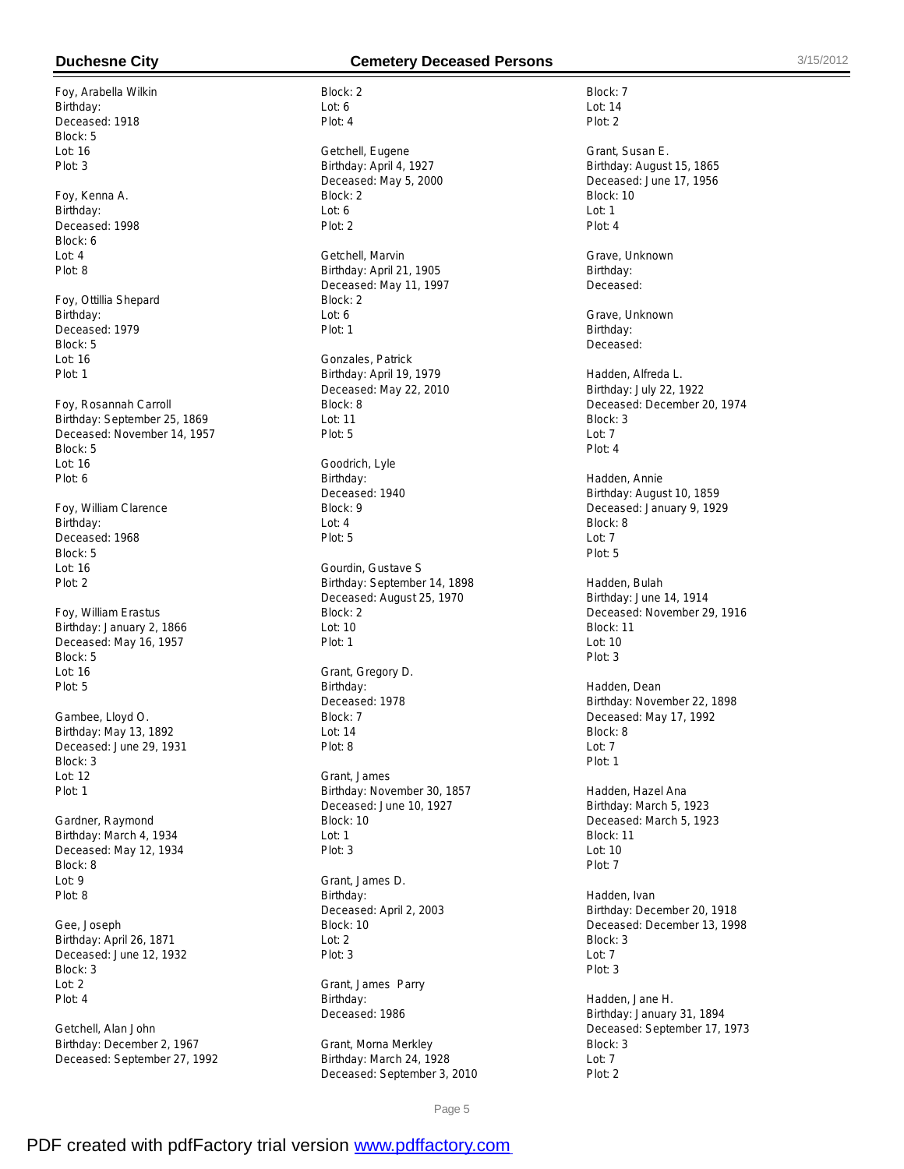Foy, Arabella Wilkin Birthday: Deceased: 1918 Block: 5 Lot: 16 Plot: 3

Foy, Kenna A. Birthday: Deceased: 1998 Block: 6 Lot: 4 Plot: 8

Foy, Ottillia Shepard Birthday: Deceased: 1979 Block: 5 Lot: 16 Plot: 1

Foy, Rosannah Carroll Birthday: September 25, 1869 Deceased: November 14, 1957 Block: 5 Lot: 16 Plot: 6

Foy, William Clarence Birthday: Deceased: 1968 Block: 5 Lot: 16 Plot: 2

Foy, William Erastus Birthday: January 2, 1866 Deceased: May 16, 1957 Block: 5 Lot: 16 Plot: 5

Gambee, Lloyd O. Birthday: May 13, 1892 Deceased: June 29, 1931 Block: 3 Lot: 12 Plot: 1

Gardner, Raymond Birthday: March 4, 1934 Deceased: May 12, 1934 Block: 8 Lot: 9 Plot: 8

Gee, Joseph Birthday: April 26, 1871 Deceased: June 12, 1932 Block: 3 Lot: 2 Plot: 4

Getchell, Alan John Birthday: December 2, 1967 Deceased: September 27, 1992

### **Duchesne City Cemetery Deceased Persons** 3/15/2012

Block: 2 Lot: 6 Plot: 4 Getchell, Eugene Birthday: April 4, 1927 Deceased: May 5, 2000 Block: 2 Lot: 6 Plot: 2 Getchell, Marvin Birthday: April 21, 1905 Deceased: May 11, 1997 Block: 2 Lot: 6 Plot: 1 Gonzales, Patrick Birthday: April 19, 1979 Deceased: May 22, 2010 Block: 8 Lot: 11 Plot: 5 Goodrich, Lyle Birthday: Deceased: 1940 Block: 9 Lot: 4 Plot: 5 Gourdin, Gustave S Birthday: September 14, 1898 Deceased: August 25, 1970 Block: 2 Lot: 10 Plot: 1 Grant, Gregory D. Birthday: Deceased: 1978 Block: 7 Lot: 14 Plot: 8 Grant, James Birthday: November 30, 1857 Deceased: June 10, 1927 Block: 10 Lot: 1 Plot: 3 Grant, James D. Birthday: Deceased: April 2, 2003 Block: 10 Lot: 2 Plot: 3

Grant, James Parry Birthday: Deceased: 1986

Grant, Morna Merkley Birthday: March 24, 1928 Deceased: September 3, 2010

Block: 7 Lot: 14 Plot: 2 Grant, Susan E. Birthday: August 15, 1865 Deceased: June 17, 1956 Block: 10 Lot: 1 Plot: 4 Grave, Unknown Birthday: Deceased: Grave, Unknown Birthday: Deceased: Hadden, Alfreda L. Birthday: July 22, 1922 Deceased: December 20, 1974 Block: 3 Lot: 7 Plot: 4 Hadden, Annie Birthday: August 10, 1859 Deceased: January 9, 1929 Block: 8 Lot: 7 Plot: 5 Hadden, Bulah Birthday: June 14, 1914 Deceased: November 29, 1916 Block: 11 Lot: 10 Plot: 3 Hadden, Dean Birthday: November 22, 1898 Deceased: May 17, 1992 Block: 8  $L$ nt: 7 Plot: 1 Hadden, Hazel Ana Birthday: March 5, 1923 Deceased: March 5, 1923 Block: 11 Lot: 10 Plot: 7 Hadden, Ivan Birthday: December 20, 1918 Deceased: December 13, 1998 Block: 3 Lot: 7 Plot: 3 Hadden, Jane H. Birthday: January 31, 1894 Deceased: September 17, 1973 Block: 3  $Int: 7$ Plot: 2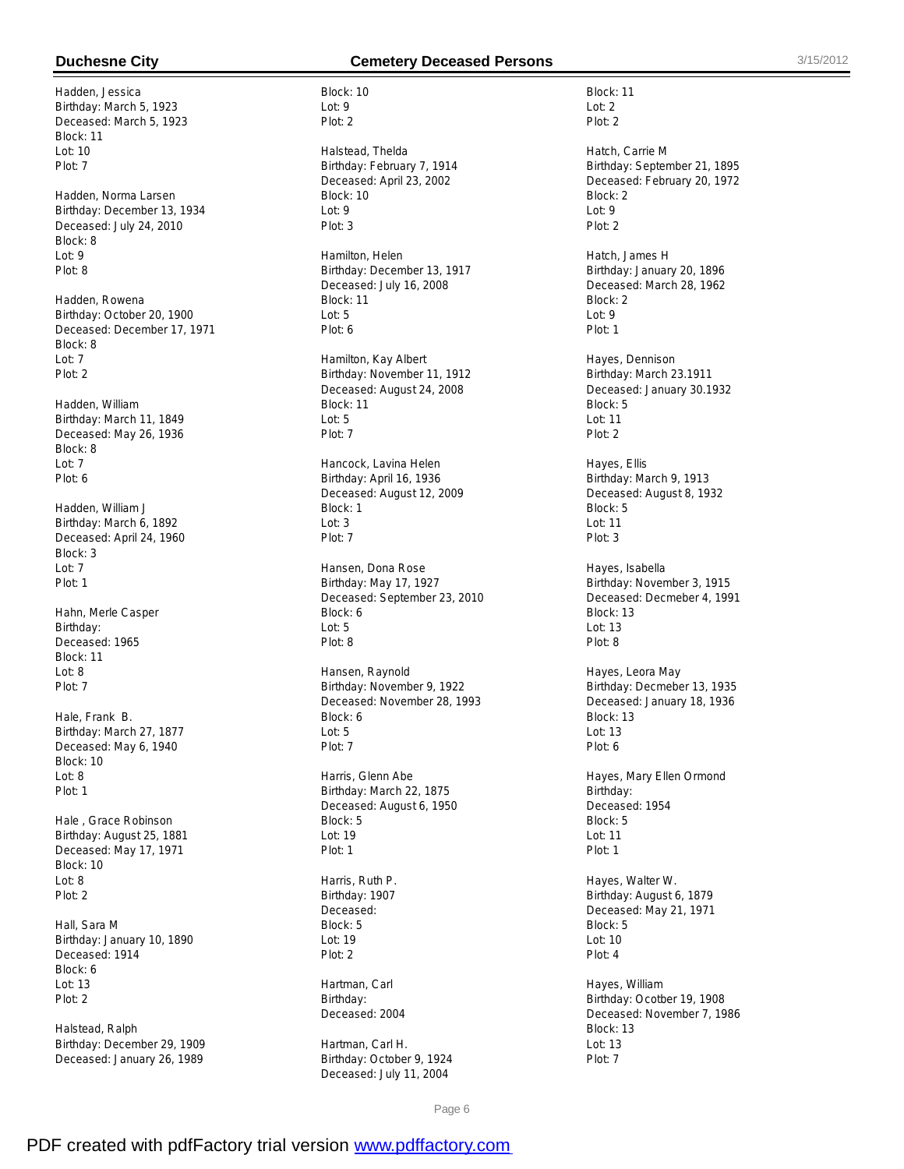Hadden, Jessica Birthday: March 5, 1923 Deceased: March 5, 1923 Block: 11  $Int: 10$ Plot: 7

Hadden, Norma Larsen Birthday: December 13, 1934 Deceased: July 24, 2010 Block: 8 Lot: 9 Plot: 8

Hadden, Rowena Birthday: October 20, 1900 Deceased: December 17, 1971 Block: 8 Lot: 7 Plot: 2

Hadden, William Birthday: March 11, 1849 Deceased: May 26, 1936 Block: 8 Lot: 7 Plot: 6

Hadden, William J Birthday: March 6, 1892 Deceased: April 24, 1960 Block: 3 Lot: 7 Plot: 1

Hahn, Merle Casper Birthday: Deceased: 1965 Block: 11  $Int: 8$ Plot: 7

Hale, Frank B. Birthday: March 27, 1877 Deceased: May 6, 1940 Block: 10 Lot: 8 Plot: 1

Hale , Grace Robinson Birthday: August 25, 1881 Deceased: May 17, 1971 Block: 10 Lot: 8 Plot: 2

Hall, Sara M Birthday: January 10, 1890 Deceased: 1914 Block: 6 Lot: 13 Plot: 2

Halstead, Ralph Birthday: December 29, 1909 Deceased: January 26, 1989

## **Duchesne City Cemetery Deceased Persons** 3/15/2012

Block: 10 Lot: 9 Plot: 2

Halstead, Thelda Birthday: February 7, 1914 Deceased: April 23, 2002 Block: 10 Lot: 9 Plot: 3

Hamilton, Helen Birthday: December 13, 1917 Deceased: July 16, 2008 Block: 11 Lot: 5 Plot: 6

Hamilton, Kay Albert Birthday: November 11, 1912 Deceased: August 24, 2008 Block: 11  $L$ ot: 5 Plot: 7

Hancock, Lavina Helen Birthday: April 16, 1936 Deceased: August 12, 2009 Block: 1 Lot: 3 Plot: 7

Hansen, Dona Rose Birthday: May 17, 1927 Deceased: September 23, 2010 Block: 6 Lot: 5 Plot: 8

Hansen, Raynold Birthday: November 9, 1922 Deceased: November 28, 1993 Block: 6 Lot: 5 Plot: 7

Harris, Glenn Abe Birthday: March 22, 1875 Deceased: August 6, 1950 Block: 5 Lot: 19 Plot: 1

Harris, Ruth P. Birthday: 1907 Deceased: Block: 5 Lot: 19 Plot: 2

Hartman, Carl Birthday: Deceased: 2004

Hartman, Carl H. Birthday: October 9, 1924 Deceased: July 11, 2004

Block: 11 Lot: 2 Plot: 2 Hatch, Carrie M Birthday: September 21, 1895 Deceased: February 20, 1972 Block: 2 Lot: 9 Plot: 2 Hatch, James H Birthday: January 20, 1896 Deceased: March 28, 1962 Block: 2 Lot: 9

Hayes, Dennison Birthday: March 23.1911 Deceased: January 30.1932 Block: 5 Lot: 11 Plot: 2

Plot: 1

Hayes, Ellis Birthday: March 9, 1913 Deceased: August 8, 1932 Block: 5 Lot: 11 Plot: 3

Hayes, Isabella Birthday: November 3, 1915 Deceased: Decmeber 4, 1991 Block: 13 Lot: 13 Plot: 8

Hayes, Leora May Birthday: Decmeber 13, 1935 Deceased: January 18, 1936 Block: 13 Lot: 13 Plot: 6

Hayes, Mary Ellen Ormond Birthday: Deceased: 1954 Block: 5 Lot: 11 Plot: 1

Hayes, Walter W. Birthday: August 6, 1879 Deceased: May 21, 1971 Block: 5 Lot: 10 Plot: 4

Hayes, William Birthday: Ocotber 19, 1908 Deceased: November 7, 1986 Block: 13 Lot: 13 Plot: 7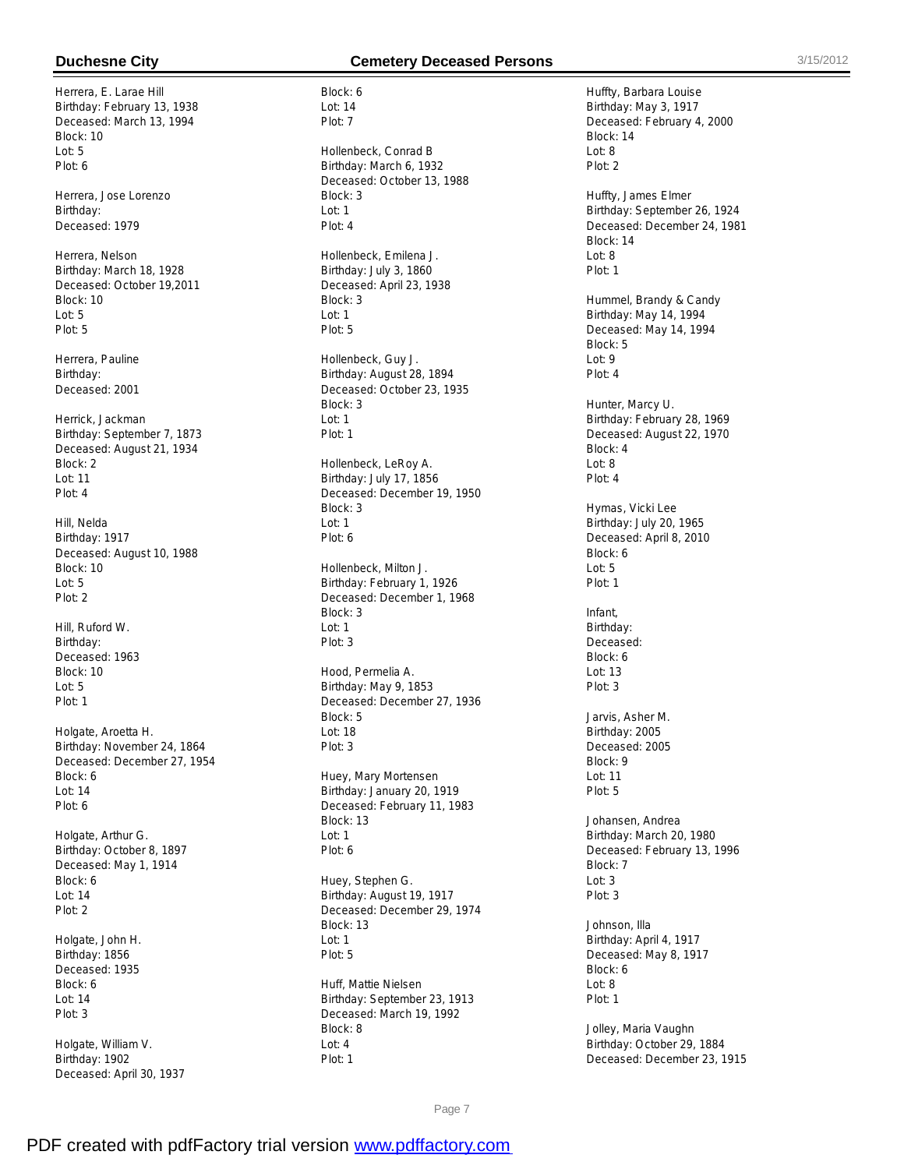Herrera, E. Larae Hill Birthday: February 13, 1938 Deceased: March 13, 1994 Block: 10  $L$ ot: 5 Plot: 6

Herrera, Jose Lorenzo Birthday: Deceased: 1979

Herrera, Nelson Birthday: March 18, 1928 Deceased: October 19,2011 Block: 10 Lot: 5 Plot: 5

Herrera, Pauline Birthday: Deceased: 2001

Herrick, Jackman Birthday: September 7, 1873 Deceased: August 21, 1934 Block: 2 Lot: 11 Plot: 4

Hill, Nelda Birthday: 1917 Deceased: August 10, 1988 Block: 10 Lot: 5 Plot: 2

Hill, Ruford W. Birthday: Deceased: 1963 Block: 10 Lot: 5 Plot: 1

Holgate, Aroetta H. Birthday: November 24, 1864 Deceased: December 27, 1954 Block: 6 Lot: 14 Plot: 6

Holgate, Arthur G. Birthday: October 8, 1897 Deceased: May 1, 1914 Block: 6 Lot: 14 Plot: 2

Holgate, John H. Birthday: 1856 Deceased: 1935 Block: 6 Lot: 14 Plot: 3

Holgate, William V. Birthday: 1902 Deceased: April 30, 1937

# **Duchesne City Cemetery Deceased Persons** 3/15/2012

Block: 6 Lot: 14 Plot: 7

Hollenbeck, Conrad B Birthday: March 6, 1932 Deceased: October 13, 1988 Block: 3 Lot: 1 Plot: 4

Hollenbeck, Emilena J. Birthday: July 3, 1860 Deceased: April 23, 1938 Block: 3 Lot: 1 Plot: 5

Hollenbeck, Guy J. Birthday: August 28, 1894 Deceased: October 23, 1935 Block: 3 Lot: 1 Plot: 1

Hollenbeck, LeRoy A. Birthday: July 17, 1856 Deceased: December 19, 1950 Block: 3 Lot: 1 Plot: 6

Hollenbeck, Milton J. Birthday: February 1, 1926 Deceased: December 1, 1968 Block: 3 Lot: 1 Plot: 3

Hood, Permelia A. Birthday: May 9, 1853 Deceased: December 27, 1936 Block: 5 Lot: 18 Plot: 3

Huey, Mary Mortensen Birthday: January 20, 1919 Deceased: February 11, 1983 Block: 13 Lot: 1 Plot: 6

Huey, Stephen G. Birthday: August 19, 1917 Deceased: December 29, 1974 Block: 13 Lot: 1 Plot: 5

Huff, Mattie Nielsen Birthday: September 23, 1913 Deceased: March 19, 1992 Block: 8 Lot: 4 Plot: 1

Huffty, Barbara Louise Birthday: May 3, 1917 Deceased: February 4, 2000 Block: 14  $Int: 8$ Plot: 2 Huffty, James Elmer Birthday: September 26, 1924 Deceased: December 24, 1981 Block: 14 Lot: 8 Plot: 1 Hummel, Brandy & Candy Birthday: May 14, 1994 Deceased: May 14, 1994 Block: 5 Lot: 9 Plot: 4 Hunter, Marcy U. Birthday: February 28, 1969 Deceased: August 22, 1970 Block: 4 Lot: 8 Plot: 4 Hymas, Vicki Lee Birthday: July 20, 1965 Deceased: April 8, 2010 Block: 6 Lot: 5 Plot: 1 Infant, Birthday: Deceased: Block: 6  $Int: 13$ Plot: 3 Jarvis, Asher M. Birthday: 2005 Deceased: 2005 Block: 9 Lot: 11 Plot: 5 Johansen, Andrea Birthday: March 20, 1980 Deceased: February 13, 1996 Block: 7 Lot: 3 Plot: 3 Johnson, Illa Birthday: April 4, 1917 Deceased: May 8, 1917 Block: 6 Lot: 8 Plot: 1

Jolley, Maria Vaughn Birthday: October 29, 1884 Deceased: December 23, 1915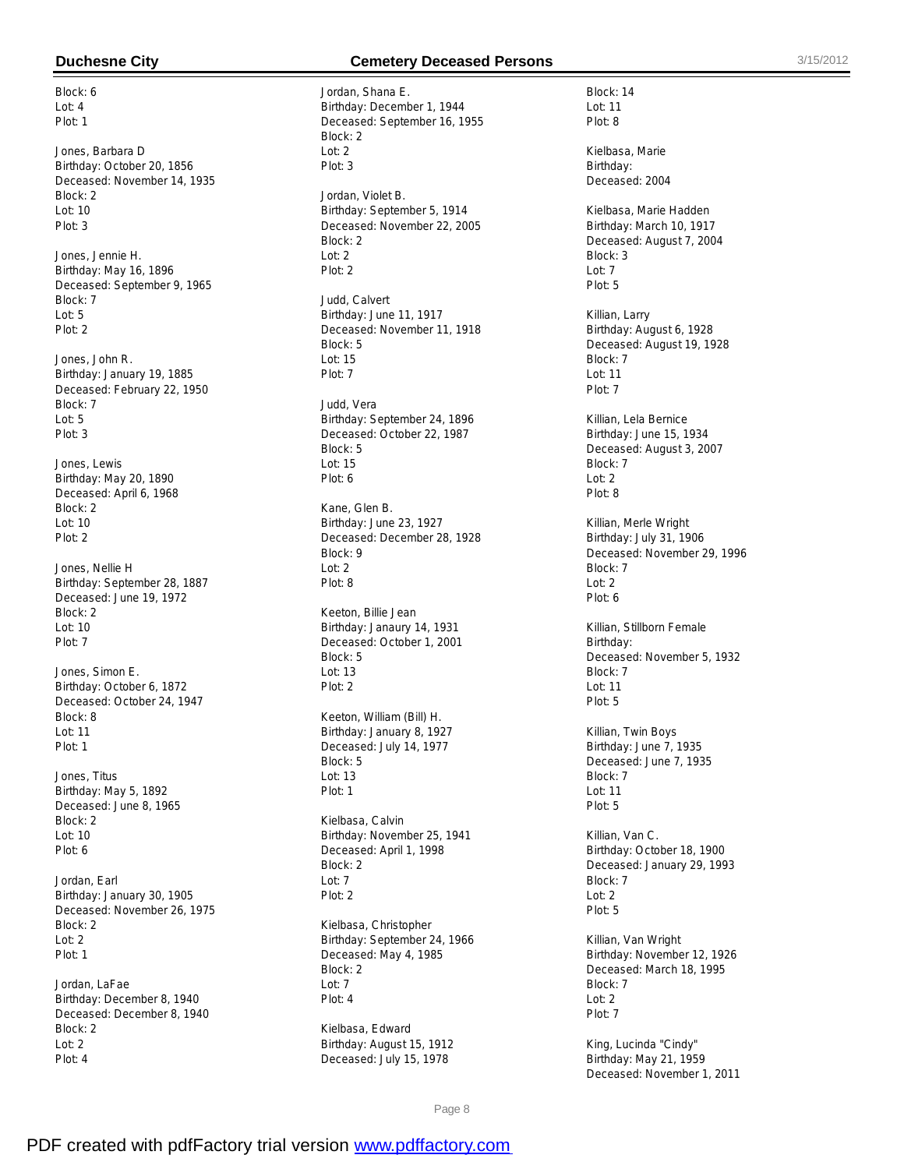Block: 6  $Int: 4$ Plot: 1

Jones, Barbara D Birthday: October 20, 1856 Deceased: November 14, 1935 Block: 2 Lot: 10 Plot: 3

Jones, Jennie H. Birthday: May 16, 1896 Deceased: September 9, 1965 Block: 7 Lot: 5 Plot: 2

Jones, John R. Birthday: January 19, 1885 Deceased: February 22, 1950 Block: 7  $L$ ot: 5 Plot: 3

Jones, Lewis Birthday: May 20, 1890 Deceased: April 6, 1968 Block: 2 Lot: 10 Plot: 2

Jones, Nellie H Birthday: September 28, 1887 Deceased: June 19, 1972 Block: 2 Lot: 10 Plot: 7

Jones, Simon E. Birthday: October 6, 1872 Deceased: October 24, 1947 Block: 8 Lot: 11 Plot: 1

Jones, Titus Birthday: May 5, 1892 Deceased: June 8, 1965 Block: 2 Lot: 10 Plot: 6

Jordan, Earl Birthday: January 30, 1905 Deceased: November 26, 1975 Block: 2 Lot: 2 Plot: 1

Jordan, LaFae Birthday: December 8, 1940 Deceased: December 8, 1940 Block: 2 Lot: 2 Plot: 4

### **Duchesne City Cemetery Deceased Persons** 3/15/2012

Jordan, Shana E. Birthday: December 1, 1944 Deceased: September 16, 1955 Block: 2  $Int: 2$ Plot: 3 Jordan, Violet B. Birthday: September 5, 1914 Deceased: November 22, 2005 Block: 2 Lot: 2 Plot: 2 Judd, Calvert Birthday: June 11, 1917 Deceased: November 11, 1918 Block: 5 Lot: 15 Plot: 7 Judd, Vera Birthday: September 24, 1896 Deceased: October 22, 1987 Block: 5 Lot: 15 Plot: 6 Kane, Glen B. Birthday: June 23, 1927 Deceased: December 28, 1928 Block: 9 Lot: 2 Plot: 8 Keeton, Billie Jean Birthday: Janaury 14, 1931 Deceased: October 1, 2001 Block: 5  $Int: 13$ Plot: 2 Keeton, William (Bill) H. Birthday: January 8, 1927 Deceased: July 14, 1977 Block: 5 Lot: 13 Plot: 1 Kielbasa, Calvin Birthday: November 25, 1941 Deceased: April 1, 1998 Block: 2 Lot: 7 Plot: 2 Kielbasa, Christopher Birthday: September 24, 1966 Deceased: May 4, 1985

Block: 2 Lot: 7 Plot: 4

Kielbasa, Edward Birthday: August 15, 1912 Deceased: July 15, 1978

Block: 14 Lot: 11 Plot: 8

Kielbasa, Marie Birthday: Deceased: 2004

Kielbasa, Marie Hadden Birthday: March 10, 1917 Deceased: August 7, 2004 Block: 3 Lot: 7 Plot: 5

Killian, Larry Birthday: August 6, 1928 Deceased: August 19, 1928 Block: 7 Lot: 11 Plot: 7

Killian, Lela Bernice Birthday: June 15, 1934 Deceased: August 3, 2007 Block: 7 Lot: 2 Plot: 8

Killian, Merle Wright Birthday: July 31, 1906 Deceased: November 29, 1996 Block: 7  $Ind: 2$ Plot: 6

Killian, Stillborn Female Birthday: Deceased: November 5, 1932 Block: 7 Lot: 11 Plot: 5

Killian, Twin Boys Birthday: June 7, 1935 Deceased: June 7, 1935 Block: 7 Lot: 11 Plot: 5

Killian, Van C. Birthday: October 18, 1900 Deceased: January 29, 1993 Block: 7  $Int: 2$ Plot: 5

Killian, Van Wright Birthday: November 12, 1926 Deceased: March 18, 1995 Block: 7 Lot: 2 Plot: 7

King, Lucinda "Cindy" Birthday: May 21, 1959 Deceased: November 1, 2011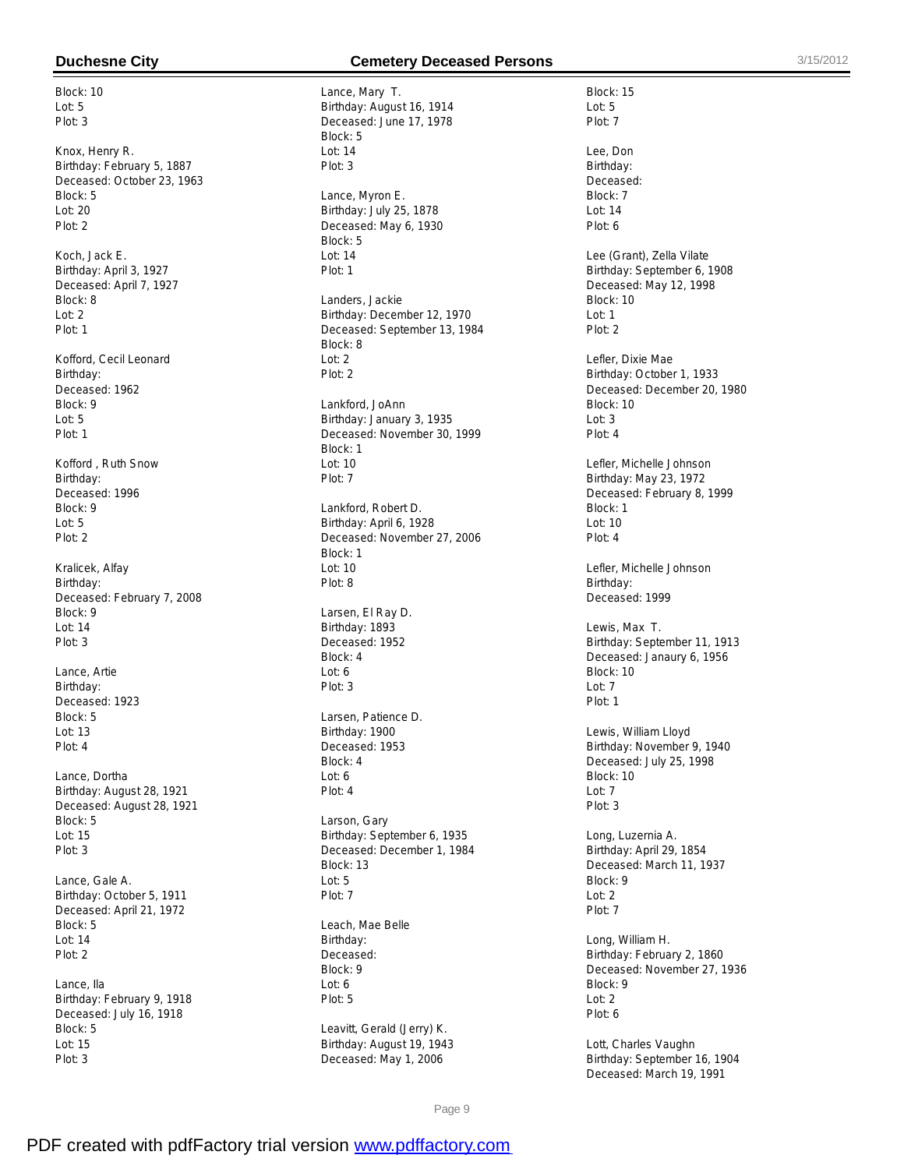Block: 10 Lot: 5 Plot: 3

Knox, Henry R. Birthday: February 5, 1887 Deceased: October 23, 1963 Block: 5 Lot: 20 Plot: 2

Koch, Jack E. Birthday: April 3, 1927 Deceased: April 7, 1927 Block: 8 Lot: 2 Plot: 1

Kofford, Cecil Leonard Birthday: Deceased: 1962 Block: 9  $L$ ot: 5 Plot: 1

Kofford , Ruth Snow Birthday: Deceased: 1996 Block: 9 Lot: 5 Plot: 2

Kralicek, Alfay Birthday: Deceased: February 7, 2008 Block: 9 Lot: 14 Plot: 3

Lance, Artie Birthday: Deceased: 1923 Block: 5 Lot: 13 Plot: 4

Lance, Dortha Birthday: August 28, 1921 Deceased: August 28, 1921 Block: 5 Lot: 15 Plot: 3

Lance, Gale A. Birthday: October 5, 1911 Deceased: April 21, 1972 Block: 5 Lot: 14 Plot: 2

Lance, Ila Birthday: February 9, 1918 Deceased: July 16, 1918 Block: 5 Lot: 15 Plot: 3

# **Duchesne City Cemetery Deceased Persons** 3/15/2012

Lance, Mary T. Birthday: August 16, 1914 Deceased: June 17, 1978 Block: 5  $Int: 14$ Plot: 3 Lance, Myron E. Birthday: July 25, 1878 Deceased: May 6, 1930 Block: 5 Lot: 14 Plot: 1 Landers, Jackie Birthday: December 12, 1970 Deceased: September 13, 1984 Block: 8 Lot: 2 Plot: 2 Lankford, JoAnn Birthday: January 3, 1935 Deceased: November 30, 1999 Block: 1 Lot: 10 Plot: 7 Lankford, Robert D. Birthday: April 6, 1928 Deceased: November 27, 2006 Block: 1 Lot: 10 Plot: 8 Larsen, El Ray D. Birthday: 1893 Deceased: 1952 Block: 4  $L$ nt: 6 Plot: 3 Larsen, Patience D. Birthday: 1900 Deceased: 1953 Block: 4 Lot: 6 Plot: 4 Larson, Gary Birthday: September 6, 1935 Deceased: December 1, 1984 Block: 13 Lot: 5 Plot: 7 Leach, Mae Belle Birthday: Deceased: Block: 9 Lot: 6 Plot: 5 Leavitt, Gerald (Jerry) K. Birthday: August 19, 1943 Deceased: May 1, 2006

Block: 15 Lot: 5 Plot: 7 Lee, Don Birthday: Deceased: Block: 7 Lot: 14 Plot: 6 Lee (Grant), Zella Vilate Birthday: September 6, 1908 Deceased: May 12, 1998 Block: 10 Lot: 1 Plot: 2 Lefler, Dixie Mae Birthday: October 1, 1933 Deceased: December 20, 1980 Block: 10  $Int: 3$ Plot: 4 Lefler, Michelle Johnson Birthday: May 23, 1972 Deceased: February 8, 1999 Block: 1 Lot: 10 Plot: 4 Lefler, Michelle Johnson Birthday: Deceased: 1999 Lewis, Max T. Birthday: September 11, 1913 Deceased: Janaury 6, 1956 Block: 10 Lot: 7 Plot: 1 Lewis, William Lloyd Birthday: November 9, 1940 Deceased: July 25, 1998 Block: 10 Lot: 7 Plot: 3 Long, Luzernia A. Birthday: April 29, 1854 Deceased: March 11, 1937 Block: 9  $Int: 2$ Plot: 7 Long, William H. Birthday: February 2, 1860 Deceased: November 27, 1936 Block: 9 Lot: 2 Plot: 6 Lott, Charles Vaughn

Birthday: September 16, 1904 Deceased: March 19, 1991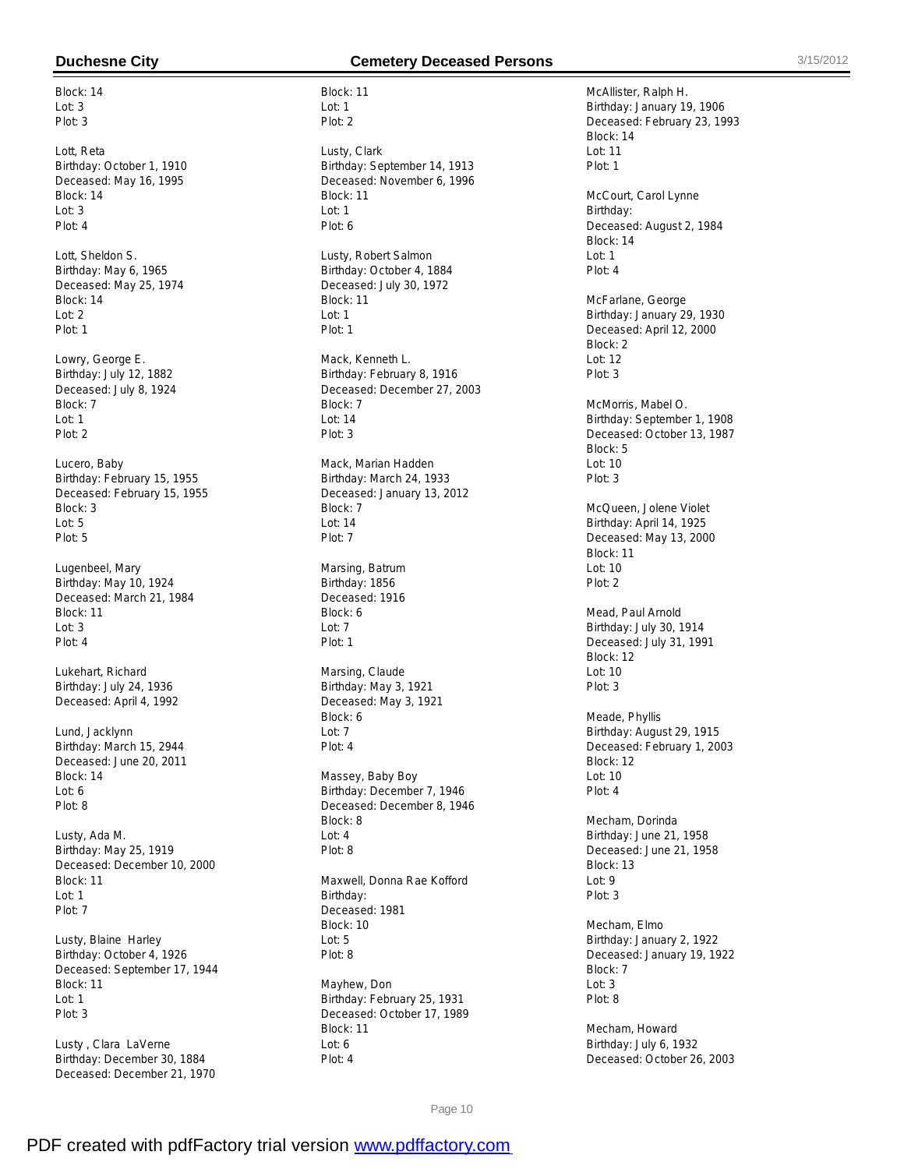Block: 14 Lot: 3 Plot: 3

Lott, Reta Birthday: October 1, 1910 Deceased: May 16, 1995 Block: 14 Lot: 3 Plot: 4

Lott, Sheldon S. Birthday: May 6, 1965 Deceased: May 25, 1974 Block: 14 Lot: 2 Plot: 1

Lowry, George E. Birthday: July 12, 1882 Deceased: July 8, 1924 Block: 7  $Int: 1$ Plot: 2

Lucero, Baby Birthday: February 15, 1955 Deceased: February 15, 1955 Block: 3 Lot: 5 Plot: 5

Lugenbeel, Mary Birthday: May 10, 1924 Deceased: March 21, 1984 Block: 11 Lot: 3 Plot: 4

Lukehart, Richard Birthday: July 24, 1936 Deceased: April 4, 1992

Lund, Jacklynn Birthday: March 15, 2944 Deceased: June 20, 2011 Block: 14 Lot: 6 Plot: 8

Lusty, Ada M. Birthday: May 25, 1919 Deceased: December 10, 2000 Block: 11 Lot: 1 Plot: 7

Lusty, Blaine Harley Birthday: October 4, 1926 Deceased: September 17, 1944 Block: 11 Lot: 1 Plot: 3

Lusty , Clara LaVerne Birthday: December 30, 1884 Deceased: December 21, 1970

# **Duchesne City Cemetery Deceased Persons** 3/15/2012

Block: 11 Lot: 1 Plot: 2

Lusty, Clark Birthday: September 14, 1913 Deceased: November 6, 1996 Block: 11 Lot: 1 Plot: 6

Lusty, Robert Salmon Birthday: October 4, 1884 Deceased: July 30, 1972 Block: 11 Lot: 1 Plot: 1

Mack, Kenneth L. Birthday: February 8, 1916 Deceased: December 27, 2003 Block: 7  $Int: 14$ Plot: 3

Mack, Marian Hadden Birthday: March 24, 1933 Deceased: January 13, 2012 Block: 7 Lot: 14 Plot: 7

Marsing, Batrum Birthday: 1856 Deceased: 1916 Block: 6 Lot: 7 Plot: 1

Marsing, Claude Birthday: May 3, 1921 Deceased: May 3, 1921 Block: 6 Lot: 7 Plot: 4

Massey, Baby Boy Birthday: December 7, 1946 Deceased: December 8, 1946 Block: 8 Lot: 4 Plot: 8

Maxwell, Donna Rae Kofford Birthday: Deceased: 1981 Block: 10 Lot: 5 Plot: 8

Mayhew, Don Birthday: February 25, 1931 Deceased: October 17, 1989 Block: 11 Lot: 6 Plot: 4

McAllister, Ralph H. Birthday: January 19, 1906 Deceased: February 23, 1993 Block: 14 Lot: 11 Plot: 1 McCourt, Carol Lynne Birthday: Deceased: August 2, 1984 Block: 14 Lot: 1 Plot: 4 McFarlane, George Birthday: January 29, 1930 Deceased: April 12, 2000 Block: 2 Lot: 12 Plot: 3 McMorris, Mabel O. Birthday: September 1, 1908 Deceased: October 13, 1987 Block: 5 Lot: 10 Plot: 3 McQueen, Jolene Violet Birthday: April 14, 1925 Deceased: May 13, 2000 Block: 11 Lot: 10 Plot: 2 Mead, Paul Arnold Birthday: July 30, 1914 Deceased: July 31, 1991 Block: 12 Lot: 10 Plot: 3 Meade, Phyllis Birthday: August 29, 1915 Deceased: February 1, 2003 Block: 12 Lot: 10 Plot: 4 Mecham, Dorinda Birthday: June 21, 1958 Deceased: June 21, 1958 Block: 13 Lot: 9 Plot: 3 Mecham, Elmo Birthday: January 2, 1922 Deceased: January 19, 1922 Block: 7 Lot: 3 Plot: 8 Mecham, Howard

Birthday: July 6, 1932 Deceased: October 26, 2003

Page 10

PDF created with pdfFactory trial version [www.pdffactory.com](http://www.pdffactory.com)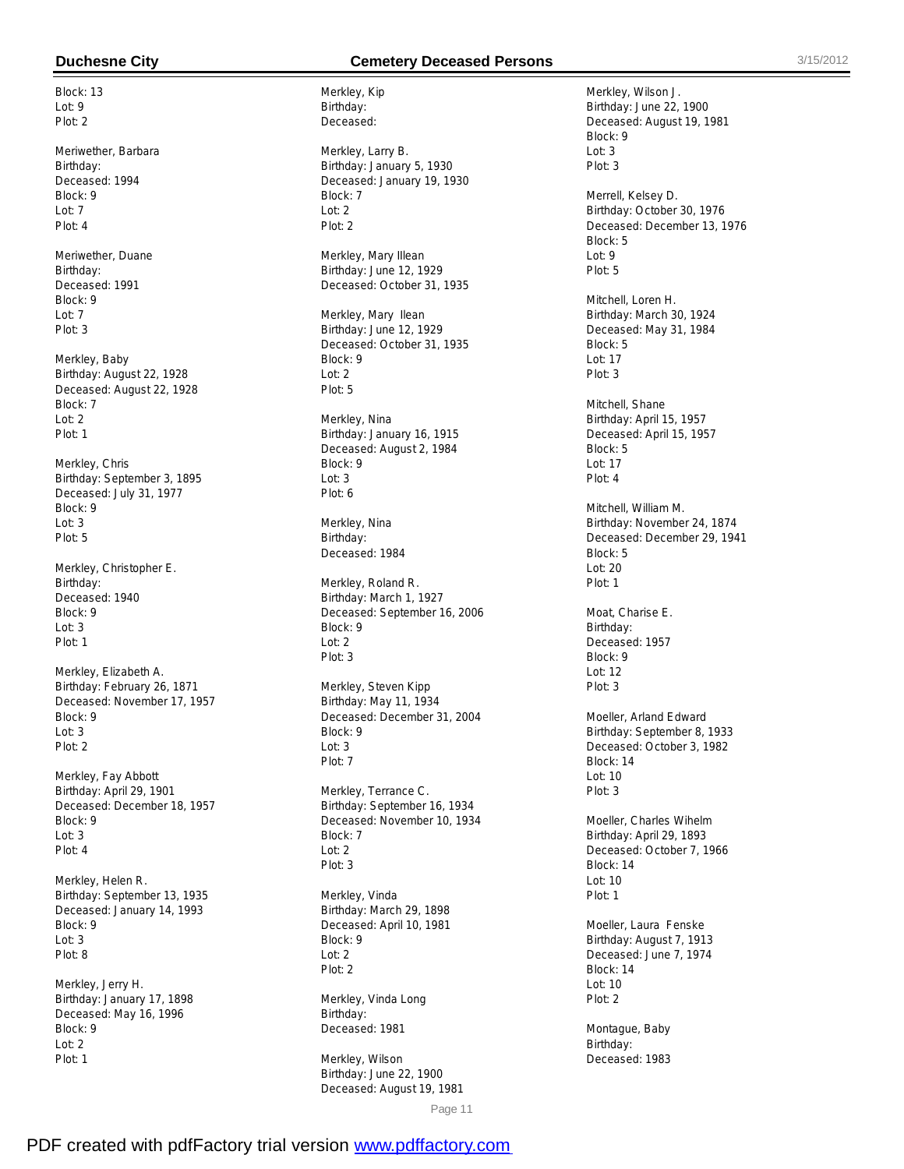Block: 13  $Int: 9$ Plot: 2

Meriwether, Barbara Birthday: Deceased: 1994 Block: 9 Lot: 7 Plot: 4

Meriwether, Duane Birthday: Deceased: 1991 Block: 9 Lot: 7 Plot: 3

Merkley, Baby Birthday: August 22, 1928 Deceased: August 22, 1928 Block: 7  $Int: 2$ Plot: 1

Merkley, Chris Birthday: September 3, 1895 Deceased: July 31, 1977 Block: 9 Lot: 3 Plot: 5

Merkley, Christopher E. Birthday: Deceased: 1940 Block: 9 Lot: 3 Plot: 1

Merkley, Elizabeth A. Birthday: February 26, 1871 Deceased: November 17, 1957 Block: 9 Lot: 3 Plot: 2

Merkley, Fay Abbott Birthday: April 29, 1901 Deceased: December 18, 1957 Block: 9 Lot: 3 Plot: 4

Merkley, Helen R. Birthday: September 13, 1935 Deceased: January 14, 1993 Block: 9 Lot: 3 Plot: 8

Merkley, Jerry H. Birthday: January 17, 1898 Deceased: May 16, 1996 Block: 9 Lot: 2 Plot: 1

# **Duchesne City Cemetery Deceased Persons** 3/15/2012

Merkley, Kip Birthday: Deceased:

Merkley, Larry B. Birthday: January 5, 1930 Deceased: January 19, 1930 Block: 7 Lot: 2 Plot: 2

Merkley, Mary IIlean Birthday: June 12, 1929 Deceased: October 31, 1935

Merkley, Mary Ilean Birthday: June 12, 1929 Deceased: October 31, 1935 Block: 9 Lot: 2 Plot: 5

Merkley, Nina Birthday: January 16, 1915 Deceased: August 2, 1984 Block: 9 Lot: 3 Plot: 6

Merkley, Nina Birthday: Deceased: 1984

Merkley, Roland R. Birthday: March 1, 1927 Deceased: September 16, 2006 Block: 9 Lot: 2 Plot: 3

Merkley, Steven Kipp Birthday: May 11, 1934 Deceased: December 31, 2004 Block: 9 Lot: 3 Plot: 7

Merkley, Terrance C. Birthday: September 16, 1934 Deceased: November 10, 1934 Block: 7 Lot: 2 Plot: 3

Merkley, Vinda Birthday: March 29, 1898 Deceased: April 10, 1981 Block: 9 Lot: 2 Plot: 2

Merkley, Vinda Long Birthday: Deceased: 1981

Merkley, Wilson Birthday: June 22, 1900 Deceased: August 19, 1981

Merkley, Wilson J. Birthday: June 22, 1900 Deceased: August 19, 1981 Block: 9  $Int: 3$ Plot: 3 Merrell, Kelsey D. Birthday: October 30, 1976 Deceased: December 13, 1976 Block: 5 Lot: 9 Plot: 5 Mitchell, Loren H. Birthday: March 30, 1924 Deceased: May 31, 1984 Block: 5 Lot: 17 Plot: 3 Mitchell, Shane Birthday: April 15, 1957 Deceased: April 15, 1957 Block: 5 Lot: 17 Plot: 4 Mitchell, William M. Birthday: November 24, 1874 Deceased: December 29, 1941 Block: 5 Lot: 20 Plot: 1 Moat, Charise E. Birthday: Deceased: 1957 Block: 9  $Int: 12$ Plot: 3 Moeller, Arland Edward Birthday: September 8, 1933 Deceased: October 3, 1982 Block: 14 Lot: 10 Plot: 3 Moeller, Charles Wihelm Birthday: April 29, 1893 Deceased: October 7, 1966 Block: 14 Lot: 10 Plot: 1 Moeller, Laura Fenske Birthday: August 7, 1913 Deceased: June 7, 1974 Block: 14 Lot: 10 Plot: 2 Montague, Baby

Birthday: Deceased: 1983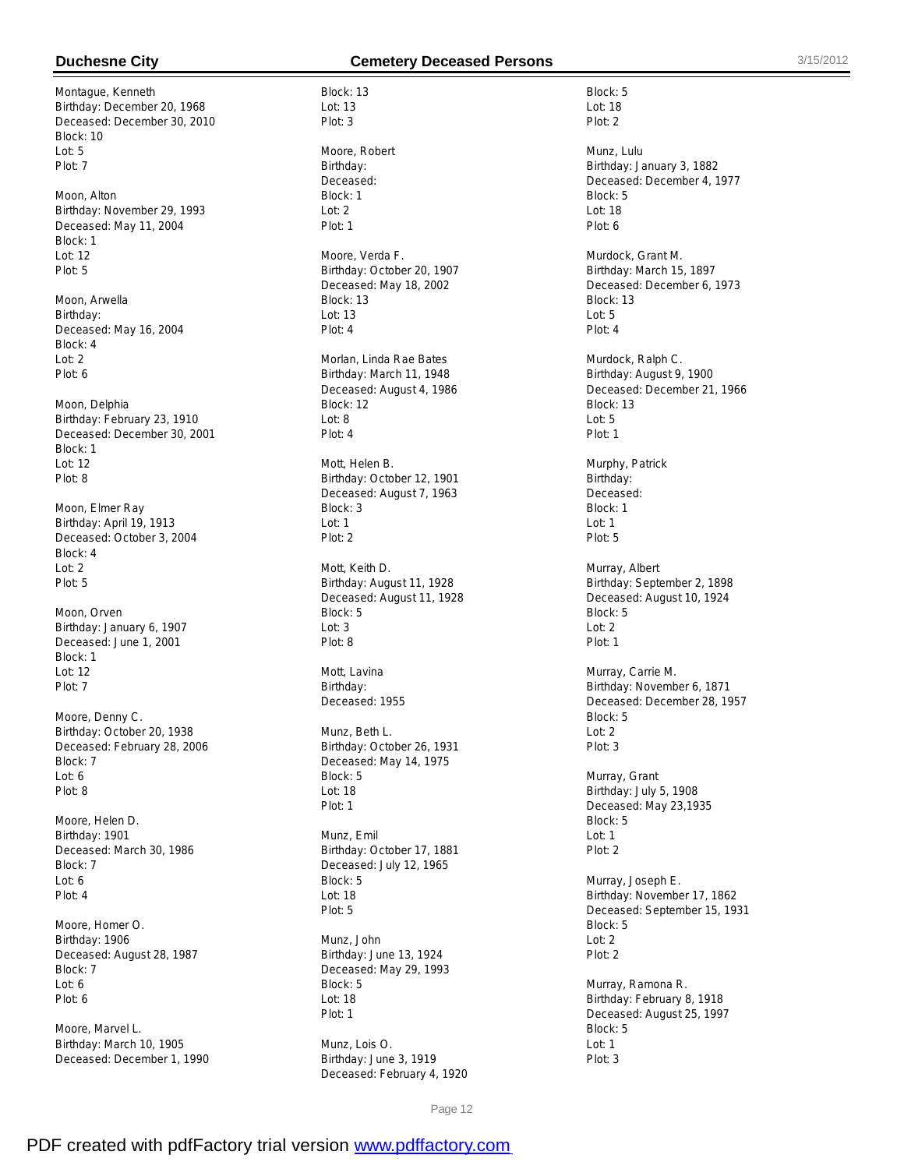Montague, Kenneth Birthday: December 20, 1968 Deceased: December 30, 2010 Block: 10  $L$ ot: 5 Plot: 7

Moon, Alton Birthday: November 29, 1993 Deceased: May 11, 2004 Block: 1 Lot: 12 Plot: 5

Moon, Arwella Birthday: Deceased: May 16, 2004 Block: 4 Lot: 2 Plot: 6

Moon, Delphia Birthday: February 23, 1910 Deceased: December 30, 2001 Block: 1 Lot: 12 Plot: 8

Moon, Elmer Ray Birthday: April 19, 1913 Deceased: October 3, 2004 Block: 4 Lot: 2 Plot: 5

Moon, Orven Birthday: January 6, 1907 Deceased: June 1, 2001 Block: 1  $Int: 12$ Plot: 7

Moore, Denny C. Birthday: October 20, 1938 Deceased: February 28, 2006 Block: 7 Lot: 6 Plot: 8

Moore, Helen D. Birthday: 1901 Deceased: March 30, 1986 Block: 7 Lot: 6 Plot: 4

Moore, Homer O. Birthday: 1906 Deceased: August 28, 1987 Block: 7 Lot: 6 Plot: 6

Moore, Marvel L. Birthday: March 10, 1905 Deceased: December 1, 1990

# **Duchesne City Cemetery Deceased Persons** 3/15/2012

Block: 13 Lot: 13 Plot: 3 Moore, Robert Birthday: Deceased: Block: 1 Lot: 2 Plot: 1 Moore, Verda F. Birthday: October 20, 1907 Deceased: May 18, 2002 Block: 13 Lot: 13 Plot: 4 Morlan, Linda Rae Bates Birthday: March 11, 1948 Deceased: August 4, 1986 Block: 12  $L$ nt: 8 Plot: 4 Mott, Helen B. Birthday: October 12, 1901 Deceased: August 7, 1963 Block: 3 Lot: 1 Plot: 2 Mott, Keith D. Birthday: August 11, 1928 Deceased: August 11, 1928 Block: 5 Lot: 3 Plot: 8 Mott, Lavina Birthday: Deceased: 1955 Munz, Beth L. Birthday: October 26, 1931 Deceased: May 14, 1975 Block: 5 Lot: 18 Plot: 1

Munz, Emil Birthday: October 17, 1881 Deceased: July 12, 1965 Block: 5 Lot: 18 Plot: 5

Munz, John Birthday: June 13, 1924 Deceased: May 29, 1993 Block: 5  $L$ nt: 18 Plot: 1

Munz, Lois O. Birthday: June 3, 1919 Deceased: February 4, 1920

Block: 5 Lot: 18 Plot: 2

Munz, Lulu Birthday: January 3, 1882 Deceased: December 4, 1977 Block: 5 Lot: 18 Plot: 6

Murdock, Grant M. Birthday: March 15, 1897 Deceased: December 6, 1973 Block: 13  $L$ ot: 5 Plot: 4

Murdock, Ralph C. Birthday: August 9, 1900 Deceased: December 21, 1966 Block: 13  $L$ ot: 5 Plot: 1

Murphy, Patrick Birthday: Deceased: Block: 1 Lot: 1 Plot: 5

Murray, Albert Birthday: September 2, 1898 Deceased: August 10, 1924 Block: 5 Lot: 2 Plot: 1

Murray, Carrie M. Birthday: November 6, 1871 Deceased: December 28, 1957 Block: 5 Lot: 2 Plot: 3

Murray, Grant Birthday: July 5, 1908 Deceased: May 23,1935 Block: 5 Lot: 1 Plot: 2

Murray, Joseph E. Birthday: November 17, 1862 Deceased: September 15, 1931 Block: 5 Lot: 2 Plot: 2

Murray, Ramona R. Birthday: February 8, 1918 Deceased: August 25, 1997 Block: 5 Lot: 1 Plot: 3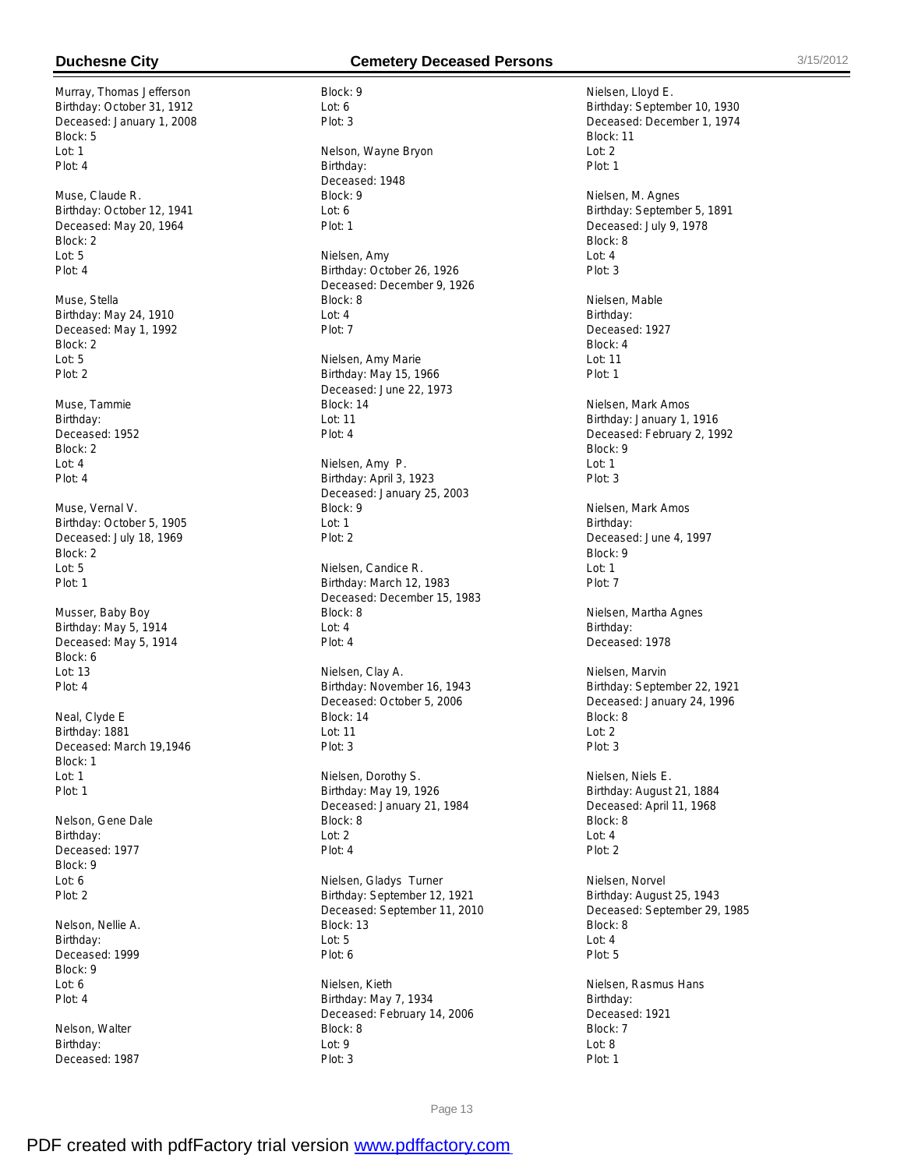Murray, Thomas Jefferson Birthday: October 31, 1912 Deceased: January 1, 2008 Block: 5 Lot: 1 Plot: 4

Muse, Claude R. Birthday: October 12, 1941 Deceased: May 20, 1964 Block: 2 Lot: 5 Plot: 4

Muse, Stella Birthday: May 24, 1910 Deceased: May 1, 1992 Block: 2 Lot: 5 Plot: 2

Muse, Tammie Birthday: Deceased: 1952 Block: 2 Lot: 4 Plot: 4

Muse, Vernal V. Birthday: October 5, 1905 Deceased: July 18, 1969 Block: 2 Lot: 5 Plot: 1

Musser, Baby Boy Birthday: May 5, 1914 Deceased: May 5, 1914 Block: 6 Lot: 13 Plot: 4

Neal, Clyde E Birthday: 1881 Deceased: March 19,1946 Block: 1 Lot: 1 Plot: 1

Nelson, Gene Dale Birthday: Deceased: 1977 Block: 9 Lot: 6 Plot: 2

Nelson, Nellie A. Birthday: Deceased: 1999 Block: 9 Lot: 6 Plot: 4

Nelson, Walter Birthday: Deceased: 1987

# **Duchesne City Cemetery Deceased Persons** 3/15/2012

Block: 9 Lot: 6 Plot: 3 Nelson, Wayne Bryon Birthday: Deceased: 1948 Block: 9 Lot: 6 Plot: 1 Nielsen, Amy Birthday: October 26, 1926 Deceased: December 9, 1926 Block: 8 Lot: 4 Plot: 7 Nielsen, Amy Marie Birthday: May 15, 1966 Deceased: June 22, 1973 Block: 14 Lot: 11 Plot: 4 Nielsen, Amy P. Birthday: April 3, 1923 Deceased: January 25, 2003 Block: 9 Lot: 1 Plot: 2 Nielsen, Candice R. Birthday: March 12, 1983 Deceased: December 15, 1983 Block: 8 Lot: 4 Plot: 4 Nielsen, Clay A. Birthday: November 16, 1943 Deceased: October 5, 2006 Block: 14 Lot: 11 Plot: 3 Nielsen, Dorothy S. Birthday: May 19, 1926 Deceased: January 21, 1984 Block: 8 Lot: 2 Plot: 4 Nielsen, Gladys Turner Birthday: September 12, 1921 Deceased: September 11, 2010 Block: 13 Lot: 5 Plot: 6 Nielsen, Kieth Birthday: May 7, 1934 Deceased: February 14, 2006 Block: 8

Nielsen, Lloyd E. Birthday: September 10, 1930 Deceased: December 1, 1974 Block: 11  $Int: 2$ Plot: 1 Nielsen, M. Agnes Birthday: September 5, 1891 Deceased: July 9, 1978 Block: 8 Lot: 4 Plot: 3 Nielsen, Mable Birthday: Deceased: 1927 Block: 4 Lot: 11 Plot: 1 Nielsen, Mark Amos Birthday: January 1, 1916 Deceased: February 2, 1992 Block: 9 Lot: 1 Plot: 3 Nielsen, Mark Amos Birthday: Deceased: June 4, 1997 Block: 9 Lot: 1 Plot: 7 Nielsen, Martha Agnes Birthday: Deceased: 1978 Nielsen, Marvin Birthday: September 22, 1921 Deceased: January 24, 1996 Block: 8 Lot: 2 Plot: 3 Nielsen, Niels E. Birthday: August 21, 1884 Deceased: April 11, 1968 Block: 8 Lot: 4 Plot: 2 Nielsen, Norvel Birthday: August 25, 1943 Deceased: September 29, 1985 Block: 8 Lot: 4 Plot: 5 Nielsen, Rasmus Hans Birthday: Deceased: 1921 Block: 7 Lot: 8 Plot: 1

Page 13

Lot: 9 Plot: 3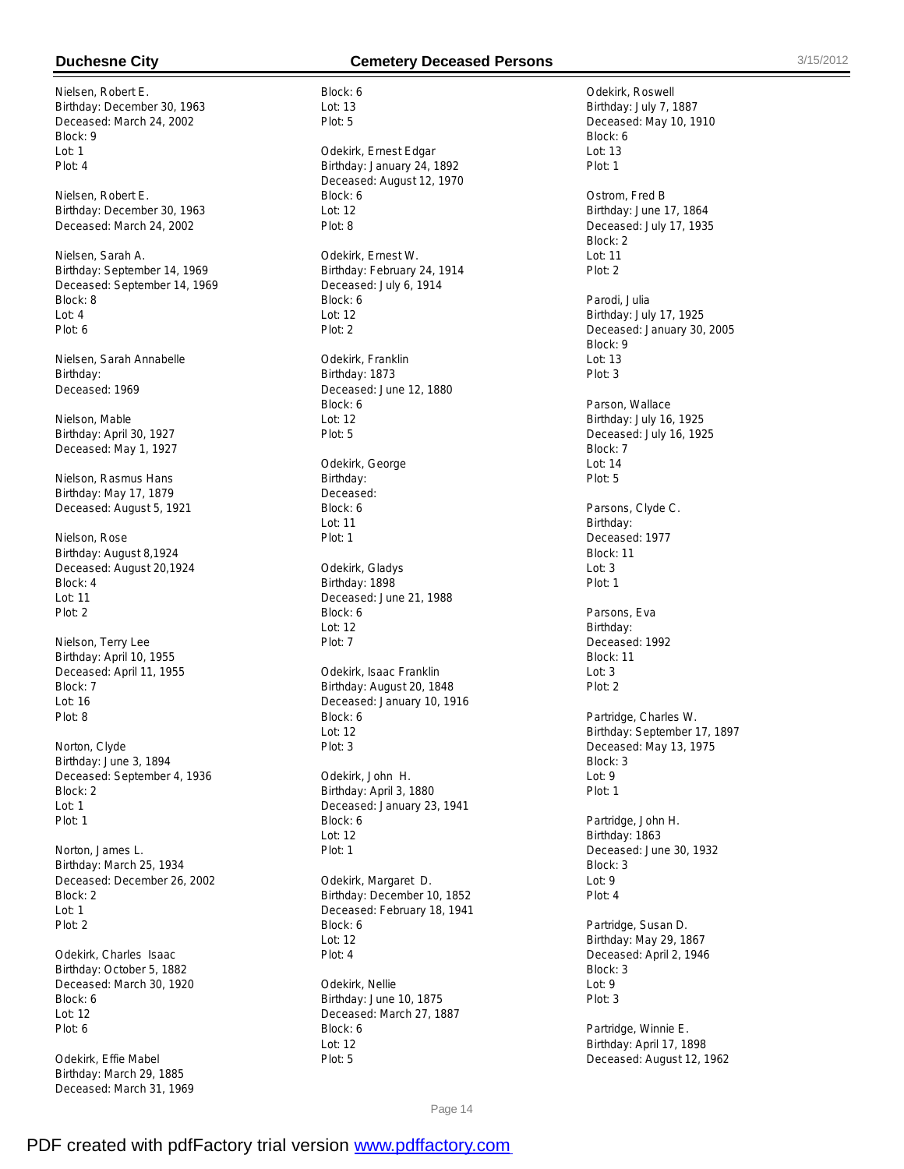Nielsen, Robert E. Birthday: December 30, 1963 Deceased: March 24, 2002 Block: 9 Lot: 1 Plot: 4

Nielsen, Robert E. Birthday: December 30, 1963 Deceased: March 24, 2002

Nielsen, Sarah A. Birthday: September 14, 1969 Deceased: September 14, 1969 Block: 8 Lot: 4 Plot: 6

Nielsen, Sarah Annabelle Birthday: Deceased: 1969

Nielson, Mable Birthday: April 30, 1927 Deceased: May 1, 1927

Nielson, Rasmus Hans Birthday: May 17, 1879 Deceased: August 5, 1921

Nielson, Rose Birthday: August 8,1924 Deceased: August 20,1924 Block: 4 Lot: 11 Plot: 2

Nielson, Terry Lee Birthday: April 10, 1955 Deceased: April 11, 1955 Block: 7 Lot: 16 Plot: 8

Norton, Clyde Birthday: June 3, 1894 Deceased: September 4, 1936 Block: 2 Lot: 1 Plot: 1

Norton, James L. Birthday: March 25, 1934 Deceased: December 26, 2002 Block: 2  $Int: 1$ Plot: 2

Odekirk, Charles Isaac Birthday: October 5, 1882 Deceased: March 30, 1920 Block: 6 Lot: 12 Plot: 6

Odekirk, Effie Mabel Birthday: March 29, 1885 Deceased: March 31, 1969

## **Duchesne City Cemetery Deceased Persons** 3/15/2012

Block: 6 Lot: 13 Plot: 5 Odekirk, Ernest Edgar Birthday: January 24, 1892 Deceased: August 12, 1970 Block: 6 Lot: 12 Plot: 8 Odekirk, Ernest W. Birthday: February 24, 1914 Deceased: July 6, 1914 Block: 6 Lot: 12 Plot: 2 Odekirk, Franklin Birthday: 1873 Deceased: June 12, 1880 Block: 6  $Int: 12$ Plot: 5 Odekirk, George Birthday: Deceased: Block: 6 Lot: 11 Plot: 1 Odekirk, Gladys Birthday: 1898 Deceased: June 21, 1988 Block: 6 Lot: 12 Plot: 7 Odekirk, Isaac Franklin Birthday: August 20, 1848 Deceased: January 10, 1916 Block: 6 Lot: 12 Plot: 3 Odekirk, John H. Birthday: April 3, 1880 Deceased: January 23, 1941 Block: 6 Lot: 12 Plot: 1 Odekirk, Margaret D. Birthday: December 10, 1852 Deceased: February 18, 1941 Block: 6 Lot: 12 Plot: 4

Odekirk, Nellie Birthday: June 10, 1875 Deceased: March 27, 1887 Block: 6 Lot: 12 Plot: 5

Odekirk, Roswell Birthday: July 7, 1887 Deceased: May 10, 1910 Block: 6  $L$ nt: 13 Plot: 1 Ostrom, Fred B Birthday: June 17, 1864 Deceased: July 17, 1935 Block: 2 Lot: 11 Plot: 2 Parodi, Julia Birthday: July 17, 1925 Deceased: January 30, 2005 Block: 9 Lot: 13 Plot: 3 Parson, Wallace Birthday: July 16, 1925 Deceased: July 16, 1925 Block: 7 Lot: 14 Plot: 5 Parsons, Clyde C. Birthday: Deceased: 1977 Block: 11 Lot: 3 Plot: 1 Parsons, Eva Birthday: Deceased: 1992 Block: 11  $\ln 3$ Plot: 2 Partridge, Charles W. Birthday: September 17, 1897 Deceased: May 13, 1975 Block: 3 Lot: 9 Plot: 1 Partridge, John H. Birthday: 1863 Deceased: June 30, 1932 Block: 3 Lot: 9 Plot: 4 Partridge, Susan D. Birthday: May 29, 1867 Deceased: April 2, 1946 Block: 3 Lot: 9 Plot: 3 Partridge, Winnie E.

Birthday: April 17, 1898 Deceased: August 12, 1962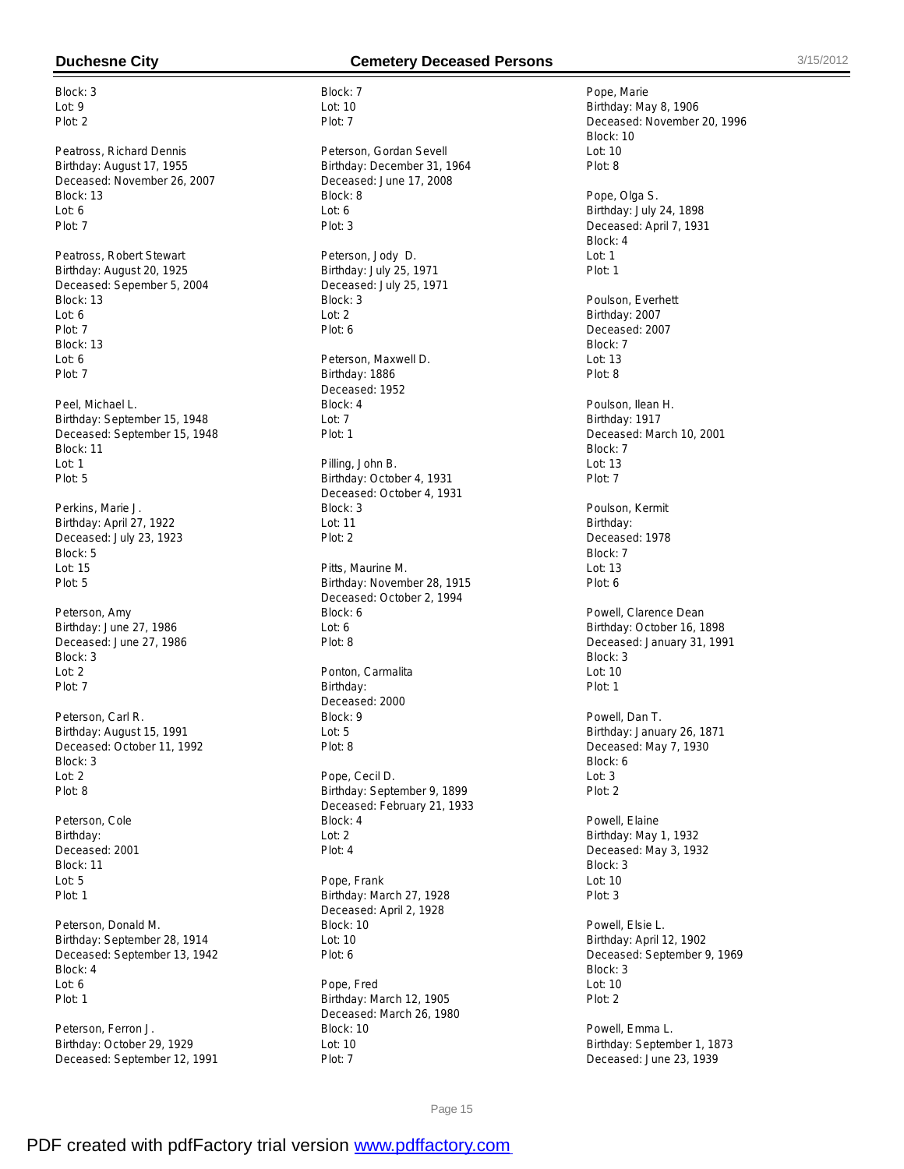Block: 3  $Int: 9$ Plot: 2

Peatross, Richard Dennis Birthday: August 17, 1955 Deceased: November 26, 2007 Block: 13 Lot: 6 Plot: 7

Peatross, Robert Stewart Birthday: August 20, 1925 Deceased: Sepember 5, 2004 Block: 13 Lot: 6 Plot: 7 Block: 13 Lot: 6 Plot: 7

Peel, Michael L. Birthday: September 15, 1948 Deceased: September 15, 1948 Block: 11 Lot: 1 Plot: 5

Perkins, Marie J. Birthday: April 27, 1922 Deceased: July 23, 1923 Block: 5 Lot: 15 Plot: 5

Peterson, Amy Birthday: June 27, 1986 Deceased: June 27, 1986 Block: 3  $Int: 2$ Plot: 7

Peterson, Carl R. Birthday: August 15, 1991 Deceased: October 11, 1992 Block: 3 Lot: 2 Plot: 8

Peterson, Cole Birthday: Deceased: 2001 Block: 11 Lot: 5 Plot: 1

Peterson, Donald M. Birthday: September 28, 1914 Deceased: September 13, 1942 Block: 4 Lot: 6 Plot: 1

Peterson, Ferron J. Birthday: October 29, 1929 Deceased: September 12, 1991

# **Duchesne City Cemetery Deceased Persons** 3/15/2012

Block: 7 Lot: 10 Plot: 7 Peterson, Gordan Sevell Birthday: December 31, 1964 Deceased: June 17, 2008 Block: 8 Lot: 6 Plot: 3 Peterson, Jody D. Birthday: July 25, 1971 Deceased: July 25, 1971 Block: 3 Lot: 2 Plot: 6 Peterson, Maxwell D. Birthday: 1886 Deceased: 1952 Block: 4  $L$ nt: 7 Plot: 1 Pilling, John B. Birthday: October 4, 1931 Deceased: October 4, 1931 Block: 3 Lot: 11 Plot: 2 Pitts, Maurine M. Birthday: November 28, 1915 Deceased: October 2, 1994 Block: 6 Lot: 6 Plot: 8 Ponton, Carmalita Birthday: Deceased: 2000 Block: 9 Lot: 5 Plot: 8 Pope, Cecil D. Birthday: September 9, 1899 Deceased: February 21, 1933 Block: 4

Pope, Frank Birthday: March 27, 1928 Deceased: April 2, 1928 Block: 10 Lot: 10 Plot: 6

Lot: 2 Plot: 4

Pope, Fred Birthday: March 12, 1905 Deceased: March 26, 1980 Block: 10 Lot: 10 Plot: 7

Pope, Marie Birthday: May 8, 1906 Deceased: November 20, 1996 Block: 10  $Int: 10$ Plot: 8 Pope, Olga S. Birthday: July 24, 1898 Deceased: April 7, 1931 Block: 4 Lot: 1 Plot: 1 Poulson, Everhett Birthday: 2007 Deceased: 2007 Block: 7 Lot: 13 Plot: 8 Poulson, Ilean H. Birthday: 1917 Deceased: March 10, 2001 Block: 7 Lot: 13 Plot: 7 Poulson, Kermit Birthday: Deceased: 1978 Block: 7 Lot: 13 Plot: 6 Powell, Clarence Dean Birthday: October 16, 1898 Deceased: January 31, 1991 Block: 3  $Int: 10$ Plot: 1 Powell, Dan T. Birthday: January 26, 1871 Deceased: May 7, 1930 Block: 6 Lot: 3 Plot: 2 Powell, Elaine Birthday: May 1, 1932 Deceased: May 3, 1932 Block: 3 Lot: 10 Plot: 3 Powell, Elsie L. Birthday: April 12, 1902 Deceased: September 9, 1969 Block: 3 Lot: 10 Plot: 2 Powell, Emma L. Birthday: September 1, 1873

Deceased: June 23, 1939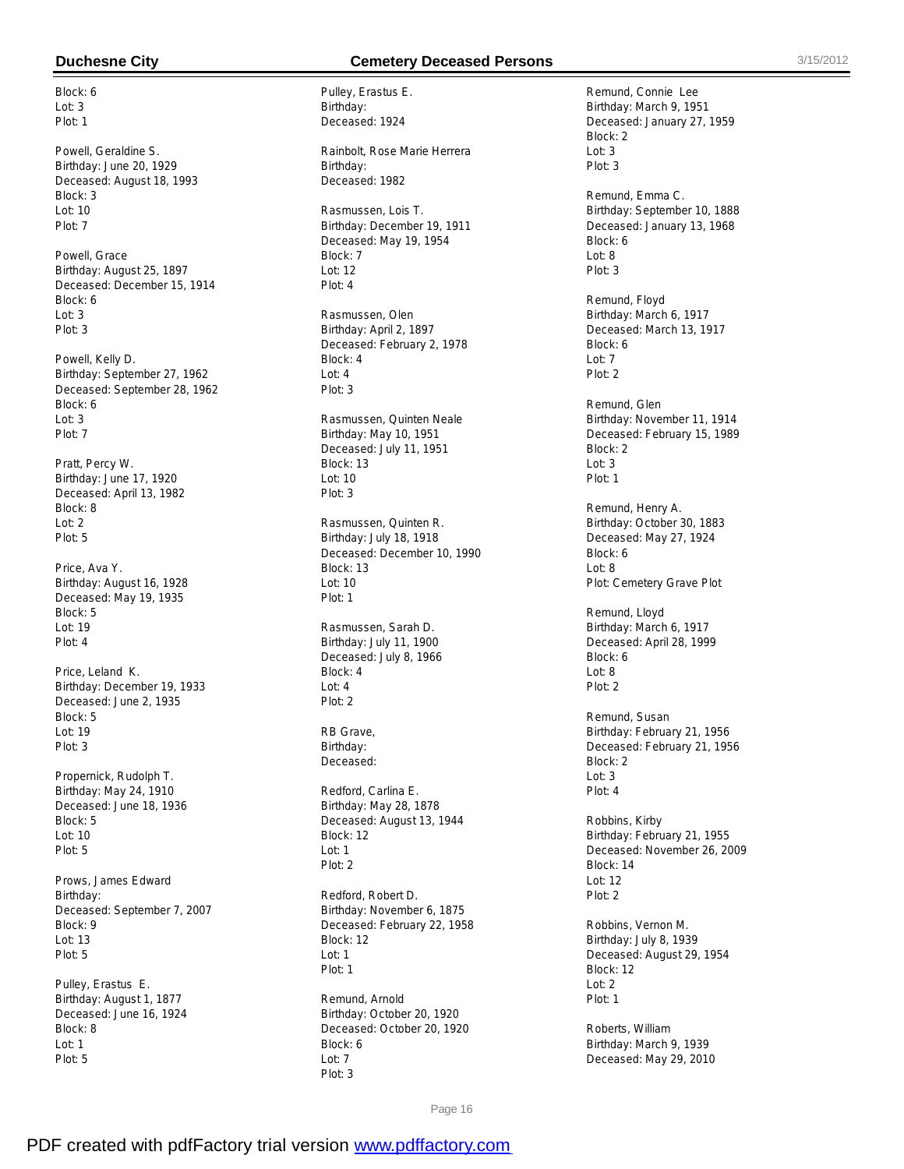Block: 6 Lot: 3 Plot: 1

Powell, Geraldine S. Birthday: June 20, 1929 Deceased: August 18, 1993 Block: 3 Lot: 10 Plot: 7

Powell, Grace Birthday: August 25, 1897 Deceased: December 15, 1914 Block: 6 Lot: 3 Plot: 3

Powell, Kelly D. Birthday: September 27, 1962 Deceased: September 28, 1962 Block: 6  $Int: 3$ Plot: 7

Pratt, Percy W. Birthday: June 17, 1920 Deceased: April 13, 1982 Block: 8 Lot: 2 Plot: 5

Price, Ava Y. Birthday: August 16, 1928 Deceased: May 19, 1935 Block: 5 Lot: 19 Plot: 4

Price, Leland K. Birthday: December 19, 1933 Deceased: June 2, 1935 Block: 5 Lot: 19 Plot: 3

Propernick, Rudolph T. Birthday: May 24, 1910 Deceased: June 18, 1936 Block: 5 Lot: 10 Plot: 5

Prows, James Edward Birthday: Deceased: September 7, 2007 Block: 9 Lot: 13 Plot: 5

Pulley, Erastus E. Birthday: August 1, 1877 Deceased: June 16, 1924 Block: 8 Lot: 1 Plot: 5

# **Duchesne City Cemetery Deceased Persons** 3/15/2012

Pulley, Erastus E. Birthday: Deceased: 1924

Rainbolt, Rose Marie Herrera Birthday: Deceased: 1982

Rasmussen, Lois T. Birthday: December 19, 1911 Deceased: May 19, 1954 Block: 7 Lot: 12 Plot: 4

Rasmussen, Olen Birthday: April 2, 1897 Deceased: February 2, 1978 Block: 4 Lot: 4 Plot: 3

Rasmussen, Quinten Neale Birthday: May 10, 1951 Deceased: July 11, 1951 Block: 13 Lot: 10 Plot: 3

Rasmussen, Quinten R. Birthday: July 18, 1918 Deceased: December 10, 1990 Block: 13 Lot: 10 Plot: 1

Rasmussen, Sarah D. Birthday: July 11, 1900 Deceased: July 8, 1966 Block: 4 Lot: 4 Plot: 2

RB Grave, Birthday: Deceased:

Redford, Carlina E. Birthday: May 28, 1878 Deceased: August 13, 1944 Block: 12 Lot: 1 Plot: 2

Redford, Robert D. Birthday: November 6, 1875 Deceased: February 22, 1958 Block: 12 Lot: 1 Plot: 1

Remund, Arnold Birthday: October 20, 1920 Deceased: October 20, 1920 Block: 6  $Int: 7$ Plot: 3

Remund, Connie Lee Birthday: March 9, 1951 Deceased: January 27, 1959 Block: 2  $Int: 3$ Plot: 3

Remund, Emma C. Birthday: September 10, 1888 Deceased: January 13, 1968 Block: 6 Lot: 8 Plot: 3

Remund, Floyd Birthday: March 6, 1917 Deceased: March 13, 1917 Block: 6 Lot: 7 Plot: 2

Remund, Glen Birthday: November 11, 1914 Deceased: February 15, 1989 Block: 2 Lot: 3 Plot: 1

Remund, Henry A. Birthday: October 30, 1883 Deceased: May 27, 1924 Block: 6 Lot: 8 Plot: Cemetery Grave Plot

Remund, Lloyd Birthday: March 6, 1917 Deceased: April 28, 1999 Block: 6  $L$ nt: 8 Plot: 2

Remund, Susan Birthday: February 21, 1956 Deceased: February 21, 1956 Block: 2 Lot: 3 Plot: 4

Robbins, Kirby Birthday: February 21, 1955 Deceased: November 26, 2009 Block: 14 Lot: 12 Plot: 2

Robbins, Vernon M. Birthday: July 8, 1939 Deceased: August 29, 1954 Block: 12 Lot: 2 Plot: 1

Roberts, William Birthday: March 9, 1939 Deceased: May 29, 2010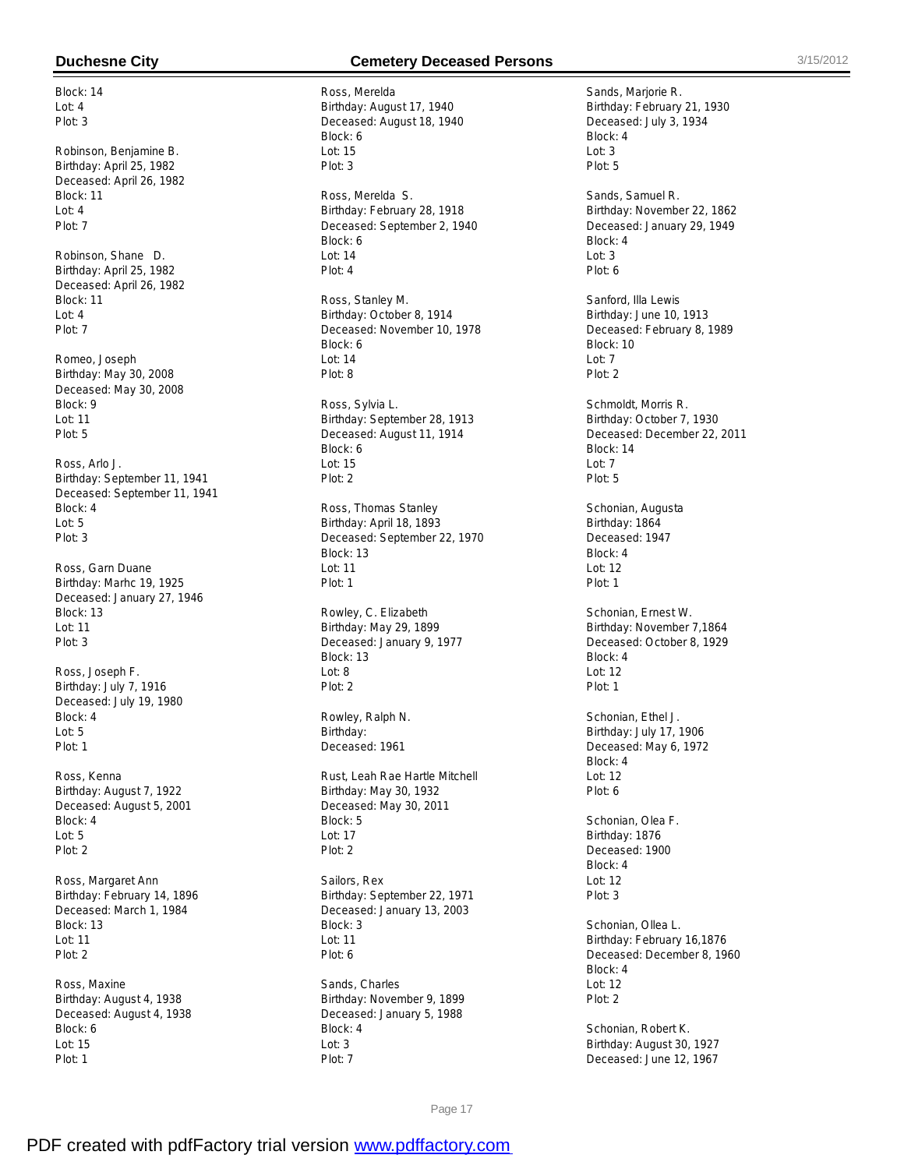Block: 14  $Int: 4$ Plot: 3

Robinson, Benjamine B. Birthday: April 25, 1982 Deceased: April 26, 1982 Block: 11 Lot: 4 Plot: 7

Robinson, Shane D. Birthday: April 25, 1982 Deceased: April 26, 1982 Block: 11 Lot: 4 Plot: 7

Romeo, Joseph Birthday: May 30, 2008 Deceased: May 30, 2008 Block: 9 Lot: 11 Plot: 5

Ross, Arlo J. Birthday: September 11, 1941 Deceased: September 11, 1941 Block: 4 Lot: 5 Plot: 3

Ross, Garn Duane Birthday: Marhc 19, 1925 Deceased: January 27, 1946 Block: 13 Lot: 11 Plot: 3

Ross, Joseph F. Birthday: July 7, 1916 Deceased: July 19, 1980 Block: 4 Lot: 5 Plot: 1

Ross, Kenna Birthday: August 7, 1922 Deceased: August 5, 2001 Block: 4 Lot: 5 Plot: 2

Ross, Margaret Ann Birthday: February 14, 1896 Deceased: March 1, 1984 Block: 13 Lot: 11 Plot: 2

Ross, Maxine Birthday: August 4, 1938 Deceased: August 4, 1938 Block: 6 Lot: 15 Plot: 1

### **Duchesne City Cemetery Deceased Persons** 3/15/2012

Ross, Merelda Birthday: August 17, 1940 Deceased: August 18, 1940 Block: 6  $L$ ot: 15 Plot: 3 Ross, Merelda S.

Birthday: February 28, 1918 Deceased: September 2, 1940 Block: 6 Lot: 14 Plot: 4

Ross, Stanley M. Birthday: October 8, 1914 Deceased: November 10, 1978 Block: 6 Lot: 14 Plot: 8

Ross, Sylvia L. Birthday: September 28, 1913 Deceased: August 11, 1914 Block: 6 Lot: 15 Plot: 2

Ross, Thomas Stanley Birthday: April 18, 1893 Deceased: September 22, 1970 Block: 13 Lot: 11 Plot: 1

Rowley, C. Elizabeth Birthday: May 29, 1899 Deceased: January 9, 1977 Block: 13 Lot: 8 Plot: 2

Rowley, Ralph N. Birthday: Deceased: 1961

Rust, Leah Rae Hartle Mitchell Birthday: May 30, 1932 Deceased: May 30, 2011 Block: 5 Lot: 17 Plot: 2

Sailors, Rex Birthday: September 22, 1971 Deceased: January 13, 2003 Block: 3 Lot: 11 Plot: 6

Sands, Charles Birthday: November 9, 1899 Deceased: January 5, 1988 Block: 4 Lot: 3 Plot: 7

Sands, Marjorie R. Birthday: February 21, 1930 Deceased: July 3, 1934 Block: 4  $Int: 3$ Plot: 5

Sands, Samuel R. Birthday: November 22, 1862 Deceased: January 29, 1949 Block: 4 Lot: 3 Plot: 6

Sanford, Illa Lewis Birthday: June 10, 1913 Deceased: February 8, 1989 Block: 10 Lot: 7 Plot: 2

Schmoldt, Morris R. Birthday: October 7, 1930 Deceased: December 22, 2011 Block: 14 Lot: 7 Plot: 5

Schonian, Augusta Birthday: 1864 Deceased: 1947 Block: 4 Lot: 12 Plot: 1

Schonian, Ernest W. Birthday: November 7,1864 Deceased: October 8, 1929 Block: 4  $Int: 12$ Plot: 1

Schonian, Ethel J. Birthday: July 17, 1906 Deceased: May 6, 1972 Block: 4 Lot: 12 Plot: 6

Schonian, Olea F. Birthday: 1876 Deceased: 1900 Block: 4 Lot: 12 Plot: 3

Schonian, Ollea L. Birthday: February 16,1876 Deceased: December 8, 1960 Block: 4 Lot: 12 Plot: 2

Schonian, Robert K. Birthday: August 30, 1927 Deceased: June 12, 1967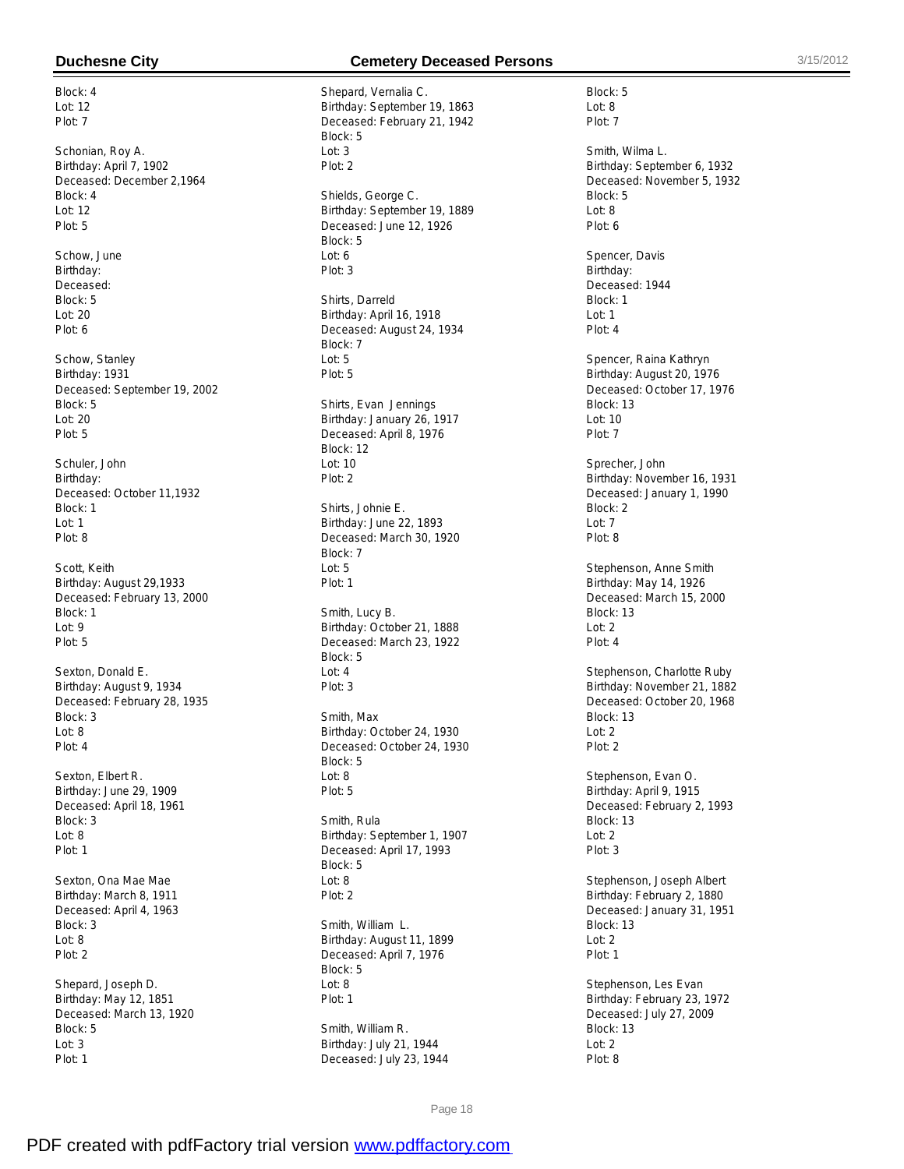Block: 4 Lot: 12 Plot: 7

Schonian, Roy A. Birthday: April 7, 1902 Deceased: December 2,1964 Block: 4 Lot: 12 Plot: 5

Schow, June Birthday: Deceased: Block: 5 Lot: 20 Plot: 6

Schow, Stanley Birthday: 1931 Deceased: September 19, 2002 Block: 5  $Int: 20$ Plot: 5

Schuler, John Birthday: Deceased: October 11,1932 Block: 1 Lot: 1 Plot: 8

Scott, Keith Birthday: August 29,1933 Deceased: February 13, 2000 Block: 1 Lot: 9 Plot: 5

Sexton, Donald E. Birthday: August 9, 1934 Deceased: February 28, 1935 Block: 3 Lot: 8 Plot: 4

Sexton, Elbert R. Birthday: June 29, 1909 Deceased: April 18, 1961 Block: 3 Lot: 8 Plot: 1

Sexton, Ona Mae Mae Birthday: March 8, 1911 Deceased: April 4, 1963 Block: 3 Lot: 8 Plot: 2

Shepard, Joseph D. Birthday: May 12, 1851 Deceased: March 13, 1920 Block: 5 Lot: 3 Plot: 1

# **Duchesne City Cemetery Deceased Persons** 3/15/2012

Block: 5 Lot: 8 Plot: 7

Block: 5 Lot: 8 Plot: 6

Smith, Wilma L.

Spencer, Davis Birthday: Deceased: 1944 Block: 1 Lot: 1 Plot: 4

Block: 13  $L$ ot: 10 Plot: 7

Block: 2 Lot: 7 Plot: 8

Block: 13 Lot: 2 Plot: 4

Sprecher, John

Spencer, Raina Kathryn Birthday: August 20, 1976 Deceased: October 17, 1976

Birthday: November 16, 1931 Deceased: January 1, 1990

Stephenson, Anne Smith Birthday: May 14, 1926 Deceased: March 15, 2000

Birthday: September 6, 1932 Deceased: November 5, 1932

Shepard, Vernalia C. Birthday: September 19, 1863 Deceased: February 21, 1942 Block: 5  $Ln: 3$ Plot: 2 Shields, George C. Birthday: September 19, 1889 Deceased: June 12, 1926 Block: 5 Lot: 6 Plot: 3 Shirts, Darreld Birthday: April 16, 1918 Deceased: August 24, 1934 Block: 7 Lot: 5 Plot: 5 Shirts, Evan Jennings Birthday: January 26, 1917 Deceased: April 8, 1976 Block: 12 Lot: 10 Plot: 2 Shirts, Johnie E. Birthday: June 22, 1893 Deceased: March 30, 1920 Block: 7 Lot: 5 Plot: 1 Smith, Lucy B. Birthday: October 21, 1888 Deceased: March 23, 1922 Block: 5  $Ind: 4$ Plot: 3 Smith, Max Birthday: October 24, 1930 Deceased: October 24, 1930 Block: 5 Lot: 8 Plot: 5 Smith, Rula Birthday: September 1, 1907 Deceased: April 17, 1993 Block: 5 Lot: 8 Plot: 2 Smith, William L. Birthday: August 11, 1899 Deceased: April 7, 1976 Block: 5

Stephenson, Charlotte Ruby Birthday: November 21, 1882 Deceased: October 20, 1968 Block: 13 Lot: 2 Plot: 2 Stephenson, Evan O. Birthday: April 9, 1915 Deceased: February 2, 1993 Block: 13 Lot: 2 Plot: 3 Stephenson, Joseph Albert Birthday: February 2, 1880 Deceased: January 31, 1951 Block: 13 Lot: 2 Plot: 1 Stephenson, Les Evan Birthday: February 23, 1972 Deceased: July 27, 2009 Block: 13 Lot: 2 Plot: 8

Page 18

Lot: 8 Plot: 1

Smith, William R. Birthday: July 21, 1944 Deceased: July 23, 1944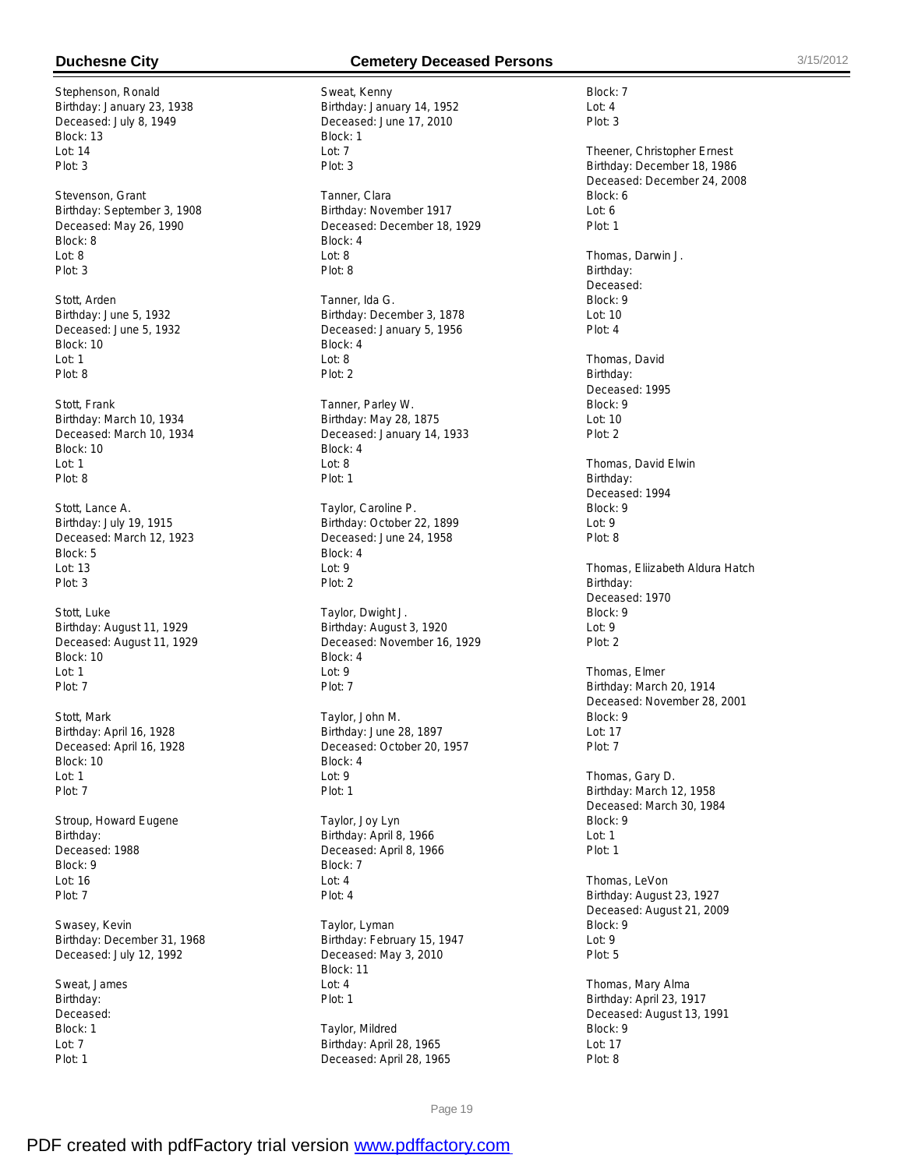Stephenson, Ronald Birthday: January 23, 1938 Deceased: July 8, 1949 Block: 13  $Int: 14$ Plot: 3

Stevenson, Grant Birthday: September 3, 1908 Deceased: May 26, 1990 Block: 8 Lot: 8 Plot: 3

Stott, Arden Birthday: June 5, 1932 Deceased: June 5, 1932 Block: 10 Lot: 1 Plot: 8

Stott, Frank Birthday: March 10, 1934 Deceased: March 10, 1934 Block: 10 Lot: 1 Plot: 8

Stott, Lance A. Birthday: July 19, 1915 Deceased: March 12, 1923 Block: 5 Lot: 13 Plot: 3

Stott, Luke Birthday: August 11, 1929 Deceased: August 11, 1929 Block: 10 Lot: 1 Plot: 7

Stott, Mark Birthday: April 16, 1928 Deceased: April 16, 1928 Block: 10 Lot: 1 Plot: 7

Stroup, Howard Eugene Birthday: Deceased: 1988 Block: 9 Lot: 16 Plot: 7

Swasey, Kevin Birthday: December 31, 1968 Deceased: July 12, 1992

Sweat, James Birthday: Deceased: Block: 1 Lot: 7 Plot: 1

## **Duchesne City Cemetery Deceased Persons** 3/15/2012

Sweat, Kenny Birthday: January 14, 1952 Deceased: June 17, 2010 Block: 1  $Int: 7$ Plot: 3 Tanner, Clara Birthday: November 1917 Deceased: December 18, 1929 Block: 4 Lot: 8 Plot: 8 Tanner, Ida G. Birthday: December 3, 1878 Deceased: January 5, 1956 Block: 4 Lot: 8 Plot: 2 Tanner, Parley W. Birthday: May 28, 1875 Deceased: January 14, 1933 Block: 4 Lot: 8 Plot: 1 Taylor, Caroline P. Birthday: October 22, 1899 Deceased: June 24, 1958 Block: 4 Lot: 9 Plot: 2 Taylor, Dwight J. Birthday: August 3, 1920 Deceased: November 16, 1929 Block: 4  $Ind: 9$ Plot: 7 Taylor, John M. Birthday: June 28, 1897 Deceased: October 20, 1957 Block: 4 Lot: 9 Plot: 1 Taylor, Joy Lyn Birthday: April 8, 1966 Deceased: April 8, 1966 Block: 7 Lot: 4 Plot: 4 Taylor, Lyman Birthday: February 15, 1947 Deceased: May 3, 2010 Block: 11

Taylor, Mildred Birthday: April 28, 1965 Deceased: April 28, 1965

Lot: 4 Plot: 1 Block: 7 Lot: 4 Plot: 3 Theener, Christopher Ernest Birthday: December 18, 1986 Deceased: December 24, 2008 Block: 6 Lot: 6 Plot: 1 Thomas, Darwin J. Birthday: Deceased: Block: 9 Lot: 10 Plot: 4 Thomas, David Birthday: Deceased: 1995 Block: 9  $L$ nt: 10 Plot: 2 Thomas, David Elwin Birthday: Deceased: 1994 Block: 9 Lot: 9 Plot: 8 Thomas, Eliizabeth Aldura Hatch Birthday: Deceased: 1970 Block: 9 Lot: 9 Plot: 2 Thomas, Elmer Birthday: March 20, 1914 Deceased: November 28, 2001 Block: 9 Lot: 17 Plot: 7 Thomas, Gary D. Birthday: March 12, 1958 Deceased: March 30, 1984 Block: 9 Lot: 1 Plot: 1 Thomas, LeVon Birthday: August 23, 1927 Deceased: August 21, 2009 Block: 9 Lot: 9 Plot: 5 Thomas, Mary Alma Birthday: April 23, 1917 Deceased: August 13, 1991 Block: 9 Lot: 17

Page 19

Plot: 8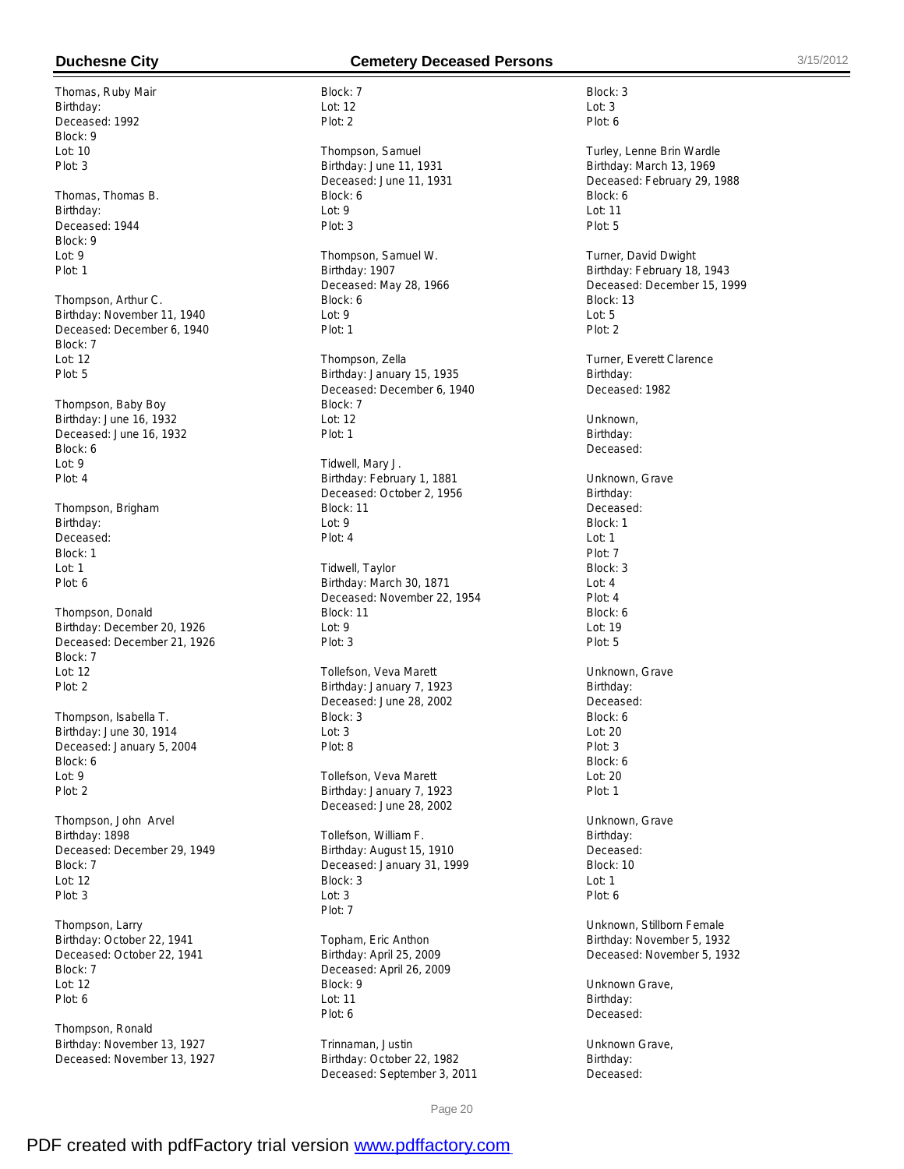Thomas, Ruby Mair Birthday: Deceased: 1992 Block: 9  $Int: 10$ Plot: 3

Thomas, Thomas B. Birthday: Deceased: 1944 Block: 9 Lot: 9 Plot: 1

Thompson, Arthur C. Birthday: November 11, 1940 Deceased: December 6, 1940 Block: 7 Lot: 12 Plot: 5

Thompson, Baby Boy Birthday: June 16, 1932 Deceased: June 16, 1932 Block: 6 Lot: 9 Plot: 4

Thompson, Brigham Birthday: Deceased: Block: 1 Lot: 1 Plot: 6

Thompson, Donald Birthday: December 20, 1926 Deceased: December 21, 1926 Block: 7  $Int: 12$ Plot: 2

Thompson, Isabella T. Birthday: June 30, 1914 Deceased: January 5, 2004 Block: 6 Lot: 9 Plot: 2

Thompson, John Arvel Birthday: 1898 Deceased: December 29, 1949 Block: 7 Lot: 12 Plot: 3

Thompson, Larry Birthday: October 22, 1941 Deceased: October 22, 1941 Block: 7 Lot: 12 Plot: 6

Thompson, Ronald Birthday: November 13, 1927 Deceased: November 13, 1927

### **Duchesne City Cemetery Deceased Persons** 3/15/2012

Block: 7 Lot: 12 Plot: 2

Thompson, Samuel Birthday: June 11, 1931 Deceased: June 11, 1931 Block: 6 Lot: 9 Plot: 3

Thompson, Samuel W. Birthday: 1907 Deceased: May 28, 1966 Block: 6 Lot: 9 Plot: 1

Thompson, Zella Birthday: January 15, 1935 Deceased: December 6, 1940 Block: 7  $Int: 12$ Plot: 1

Tidwell, Mary J. Birthday: February 1, 1881 Deceased: October 2, 1956 Block: 11 Lot: 9 Plot: 4

Tidwell, Taylor Birthday: March 30, 1871 Deceased: November 22, 1954 Block: 11 Lot: 9 Plot: 3

Tollefson, Veva Marett Birthday: January 7, 1923 Deceased: June 28, 2002 Block: 3 Lot: 3 Plot: 8

Tollefson, Veva Marett Birthday: January 7, 1923 Deceased: June 28, 2002

Tollefson, William F. Birthday: August 15, 1910 Deceased: January 31, 1999 Block: 3 Lot: 3 Plot: 7

Topham, Eric Anthon Birthday: April 25, 2009 Deceased: April 26, 2009 Block: 9 Lot: 11 Plot: 6

Trinnaman, Justin Birthday: October 22, 1982 Deceased: September 3, 2011

Page 20

Plot: 6 Turley, Lenne Brin Wardle Birthday: March 13, 1969 Deceased: February 29, 1988 Block: 6 Lot: 11 Plot: 5

Block: 3 Lot: 3

Turner, David Dwight Birthday: February 18, 1943 Deceased: December 15, 1999 Block: 13  $L$ ot: 5 Plot: 2

Turner, Everett Clarence Birthday: Deceased: 1982

**Unknown** Birthday: Deceased:

Unknown, Grave Birthday: Deceased: Block: 1 Lot: 1 Plot: 7 Block: 3  $Ind: 4$ Plot: 4 Block: 6 Lot: 19 Plot: 5 Unknown, Grave Birthday: Deceased: Block: 6 Lot: 20 Plot: 3 Block: 6 Lot: 20 Plot: 1

Unknown, Grave Birthday: Deceased: Block: 10 Lot: 1 Plot: 6

Unknown, Stillborn Female Birthday: November 5, 1932 Deceased: November 5, 1932

Unknown Grave, Birthday: Deceased:

Unknown Grave, Birthday: Deceased: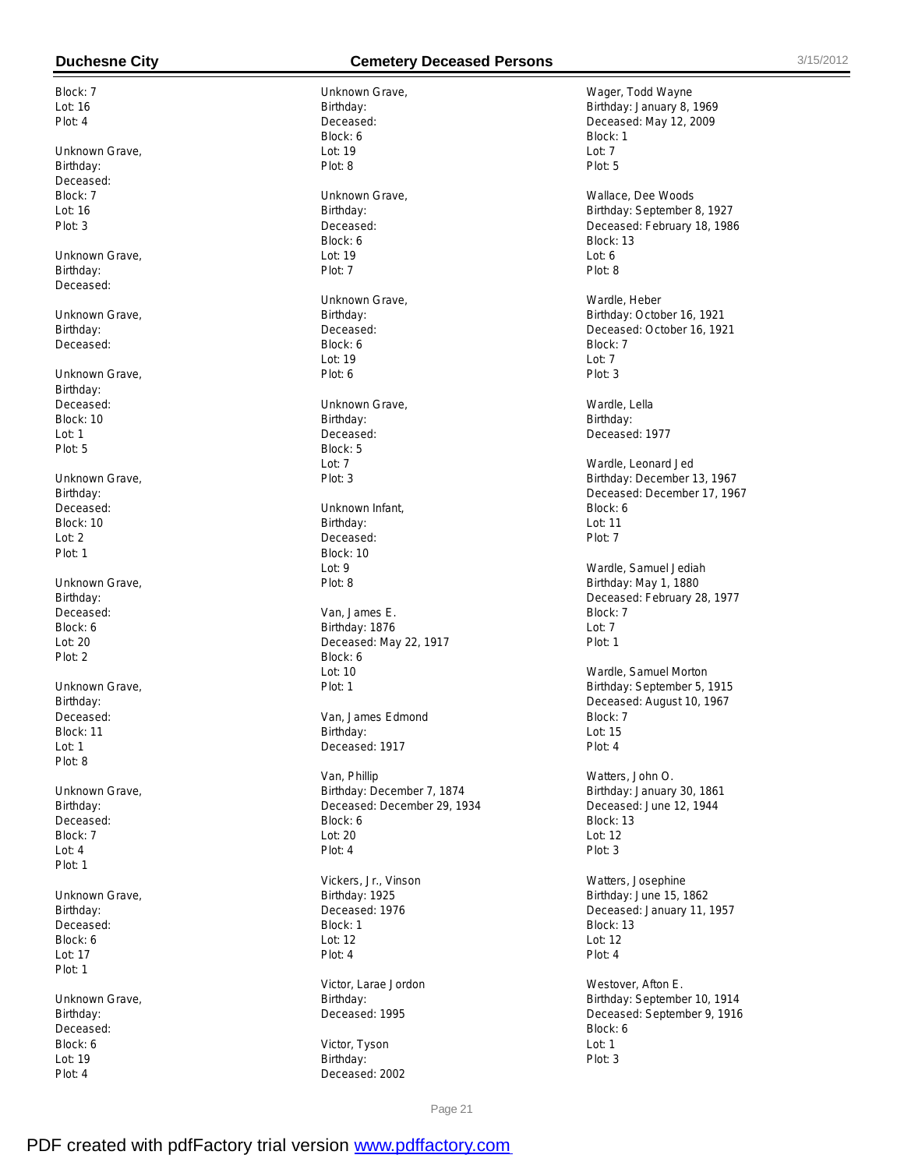Block: 7 Lot: 16 Plot: 4

Unknown Grave, Birthday: Deceased: Block: 7 Lot: 16 Plot: 3

Unknown Grave, Birthday: Deceased:

Unknown Grave, Birthday: Deceased:

Unknown Grave, Birthday: Deceased: Block: 10 Lot: 1 Plot: 5

Unknown Grave, Birthday: Deceased: Block: 10 Lot: 2 Plot: 1

Unknown Grave, Birthday: Deceased: Block: 6 Lot: 20 Plot: 2

Unknown Grave, Birthday: Deceased: Block: 11 Lot: 1 Plot: 8

Unknown Grave, Birthday: Deceased: Block: 7 Lot: 4 Plot: 1

Unknown Grave, Birthday: Deceased: Block: 6 Lot: 17 Plot: 1

Unknown Grave, Birthday: **Deceased** Block: 6 Lot: 19 Plot: 4

# **Duchesne City Cemetery Deceased Persons** 3/15/2012

Unknown Grave, Birthday: Deceased: Block: 6  $Int: 19$ Plot: 8 Unknown Grave, Birthday: Deceased: Block: 6 Lot: 19 Plot: 7 Unknown Grave, Birthday: Deceased: Block: 6 Lot: 19 Plot: 6 Unknown Grave, Birthday: Deceased: Block: 5 Lot: 7 Plot: 3 Unknown Infant, Birthday: Deceased: Block: 10 Lot: 9 Plot: 8 Van, James E. Birthday: 1876 Deceased: May 22, 1917 Block: 6  $Int: 10$ Plot: 1 Van, James Edmond Birthday: Deceased: 1917 Van, Phillip Birthday: December 7, 1874 Deceased: December 29, 1934 Block: 6 Lot: 20 Plot: 4 Vickers, Jr., Vinson Birthday: 1925 Deceased: 1976 Block: 1 Lot: 12

Victor, Larae Jordon Birthday: Deceased: 1995

Plot: 4

Victor, Tyson Birthday: Deceased: 2002

Wager, Todd Wayne Birthday: January 8, 1969 Deceased: May 12, 2009 Block: 1  $Int: 7$ Plot: 5

Wallace, Dee Woods Birthday: September 8, 1927 Deceased: February 18, 1986 Block: 13 Lot: 6 Plot: 8

Wardle, Heber Birthday: October 16, 1921 Deceased: October 16, 1921 Block: 7 Lot: 7 Plot: 3

Wardle, Lella Birthday: Deceased: 1977

Wardle, Leonard Jed Birthday: December 13, 1967 Deceased: December 17, 1967 Block: 6 Lot: 11 Plot: 7

Wardle, Samuel Jediah Birthday: May 1, 1880 Deceased: February 28, 1977 Block: 7 Lot: 7 Plot: 1

Wardle, Samuel Morton Birthday: September 5, 1915 Deceased: August 10, 1967 Block: 7 Lot: 15 Plot: 4

Watters, John O. Birthday: January 30, 1861 Deceased: June 12, 1944 Block: 13 Lot: 12 Plot: 3

Watters, Josephine Birthday: June 15, 1862 Deceased: January 11, 1957 Block: 13 Lot: 12 Plot: 4

Westover, Afton E. Birthday: September 10, 1914 Deceased: September 9, 1916 Block: 6 Lot: 1 Plot: 3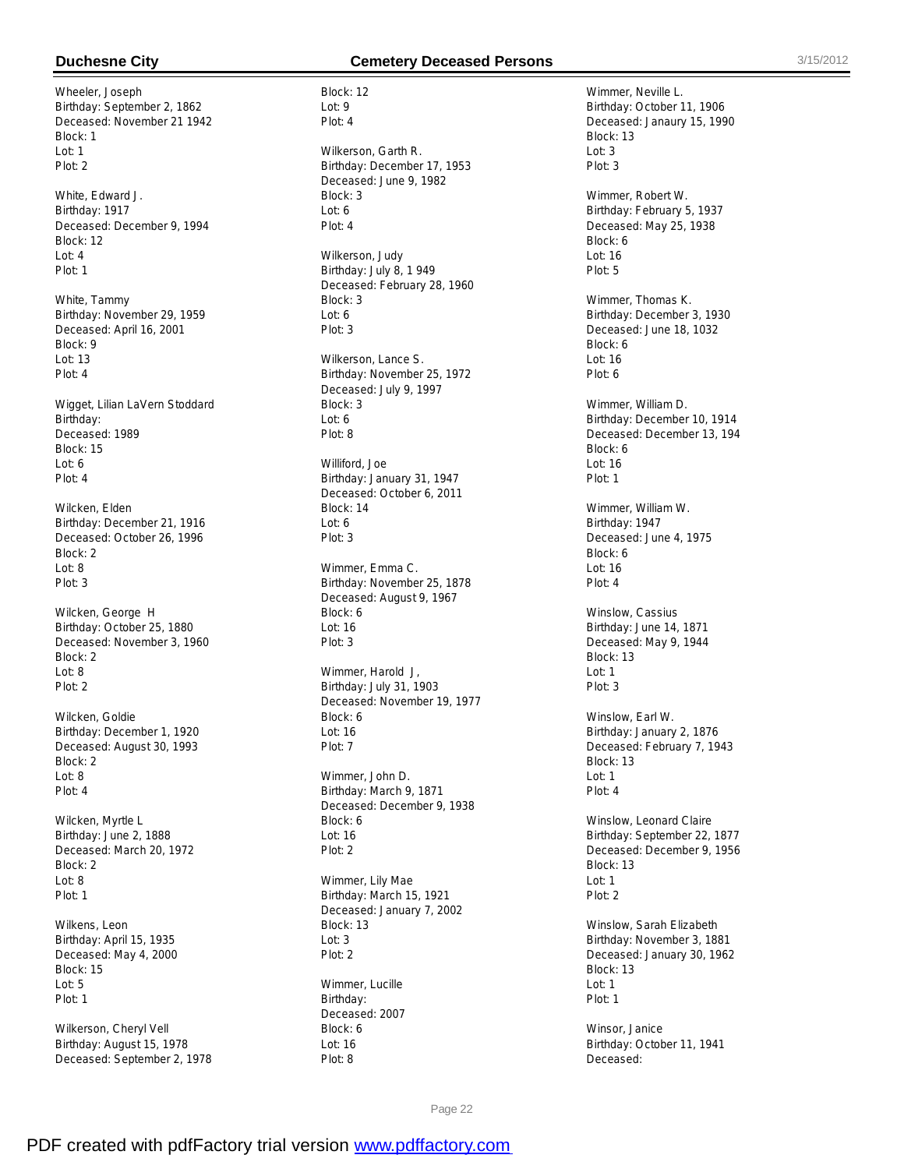Wheeler, Joseph Birthday: September 2, 1862 Deceased: November 21 1942 Block: 1  $Int: 1$ Plot: 2

White, Edward J. Birthday: 1917 Deceased: December 9, 1994 Block: 12 Lot: 4 Plot: 1

White, Tammy Birthday: November 29, 1959 Deceased: April 16, 2001 Block: 9 Lot: 13 Plot: 4

Wigget, Lilian LaVern Stoddard Birthday: Deceased: 1989 Block: 15 Lot: 6 Plot: 4

Wilcken, Elden Birthday: December 21, 1916 Deceased: October 26, 1996 Block: 2 Lot: 8 Plot: 3

Wilcken, George H Birthday: October 25, 1880 Deceased: November 3, 1960 Block: 2  $Int: 8$ Plot: 2

Wilcken, Goldie Birthday: December 1, 1920 Deceased: August 30, 1993 Block: 2 Lot: 8 Plot: 4

Wilcken, Myrtle L Birthday: June 2, 1888 Deceased: March 20, 1972 Block: 2 Lot: 8 Plot: 1

Wilkens, Leon Birthday: April 15, 1935 Deceased: May 4, 2000 Block: 15 Lot: 5 Plot: 1

Wilkerson, Cheryl Vell Birthday: August 15, 1978 Deceased: September 2, 1978

# **Duchesne City Cemetery Deceased Persons** 3/15/2012

Block: 12 Lot: 9 Plot: 4 Wilkerson, Garth R. Birthday: December 17, 1953 Deceased: June 9, 1982 Block: 3 Lot: 6 Plot: 4 Wilkerson, Judy Birthday: July 8, 1 949 Deceased: February 28, 1960 Block: 3 Lot: 6 Plot: 3 Wilkerson, Lance S. Birthday: November 25, 1972 Deceased: July 9, 1997 Block: 3  $L$ nt: 6 Plot: 8 Williford, Joe Birthday: January 31, 1947 Deceased: October 6, 2011 Block: 14 Lot: 6 Plot: 3 Wimmer, Emma C. Birthday: November 25, 1878 Deceased: August 9, 1967 Block: 6 Lot: 16 Plot: 3 Wimmer, Harold J, Birthday: July 31, 1903 Deceased: November 19, 1977 Block: 6 Lot: 16 Plot: 7 Wimmer, John D. Birthday: March 9, 1871 Deceased: December 9, 1938 Block: 6 Lot: 16 Plot: 2 Wimmer, Lily Mae Birthday: March 15, 1921 Deceased: January 7, 2002 Block: 13 Lot: 3

Wimmer, Lucille Birthday: Deceased: 2007 Block: 6 Lot: 16 Plot: 8

Plot: 2

Wimmer, Neville L. Birthday: October 11, 1906 Deceased: Janaury 15, 1990 Block: 13  $Int: 3$ Plot: 3 Wimmer, Robert W. Birthday: February 5, 1937 Deceased: May 25, 1938 Block: 6 Lot: 16 Plot: 5 Wimmer, Thomas K. Birthday: December 3, 1930 Deceased: June 18, 1032 Block: 6 Lot: 16 Plot: 6 Wimmer, William D. Birthday: December 10, 1914 Deceased: December 13, 194 Block: 6 Lot: 16 Plot: 1 Wimmer, William W. Birthday: 1947 Deceased: June 4, 1975 Block: 6 Lot: 16  $Plot: 4$ Winslow, Cassius Birthday: June 14, 1871 Deceased: May 9, 1944 Block: 13 Lot: 1 Plot: 3 Winslow, Earl W. Birthday: January 2, 1876 Deceased: February 7, 1943 Block: 13 Lot: 1 Plot: 4 Winslow, Leonard Claire Birthday: September 22, 1877 Deceased: December 9, 1956 Block: 13 Lot: 1 Plot: 2 Winslow, Sarah Elizabeth Birthday: November 3, 1881 Deceased: January 30, 1962 Block: 13 Lot: 1 Plot: 1

Winsor, Janice Birthday: October 11, 1941 Deceased: